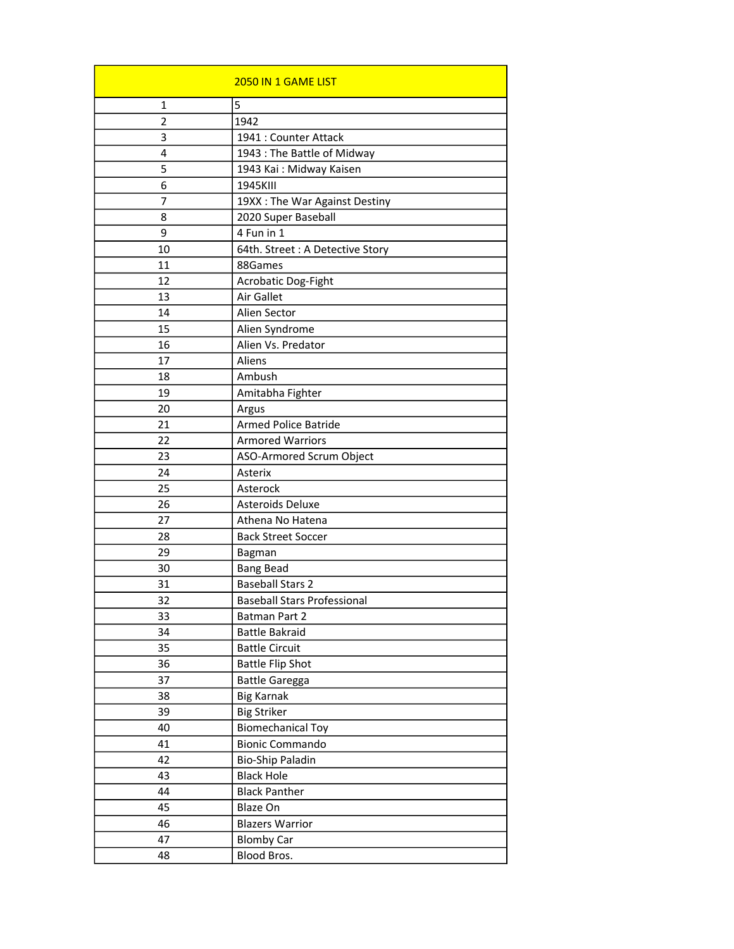|                | 2050 IN 1 GAME LIST                |
|----------------|------------------------------------|
| 1              | 5                                  |
| $\overline{2}$ | 1942                               |
| 3              | 1941 : Counter Attack              |
| 4              | 1943 : The Battle of Midway        |
| 5              | 1943 Kai: Midway Kaisen            |
| 6              | 1945KIII                           |
| 7              | 19XX : The War Against Destiny     |
| 8              | 2020 Super Baseball                |
| 9              | 4 Fun in 1                         |
| 10             | 64th. Street : A Detective Story   |
| 11             | 88Games                            |
| 12             | Acrobatic Dog-Fight                |
| 13             | Air Gallet                         |
| 14             | Alien Sector                       |
| 15             | Alien Syndrome                     |
| 16             | Alien Vs. Predator                 |
| 17             | Aliens                             |
| 18             | Ambush                             |
| 19             | Amitabha Fighter                   |
| 20             | Argus                              |
| 21             | <b>Armed Police Batride</b>        |
| 22             | <b>Armored Warriors</b>            |
| 23             | ASO-Armored Scrum Object           |
| 24             | Asterix                            |
| 25             | Asterock                           |
| 26             | <b>Asteroids Deluxe</b>            |
| 27             | Athena No Hatena                   |
| 28             | <b>Back Street Soccer</b>          |
| 29             | Bagman                             |
| 30             | <b>Bang Bead</b>                   |
| 31             | <b>Baseball Stars 2</b>            |
| 32             | <b>Baseball Stars Professional</b> |
| 33             | Batman Part 2                      |
| 34             | <b>Battle Bakraid</b>              |
| 35             | <b>Battle Circuit</b>              |
| 36             | <b>Battle Flip Shot</b>            |
| 37             | <b>Battle Garegga</b>              |
| 38             | <b>Big Karnak</b>                  |
| 39             | <b>Big Striker</b>                 |
| 40             | <b>Biomechanical Toy</b>           |
| 41             | <b>Bionic Commando</b>             |
| 42             | <b>Bio-Ship Paladin</b>            |
| 43             | <b>Black Hole</b>                  |
| 44             | <b>Black Panther</b>               |
| 45             | Blaze On                           |
| 46             | <b>Blazers Warrior</b>             |
| 47             | <b>Blomby Car</b>                  |
| 48             | Blood Bros.                        |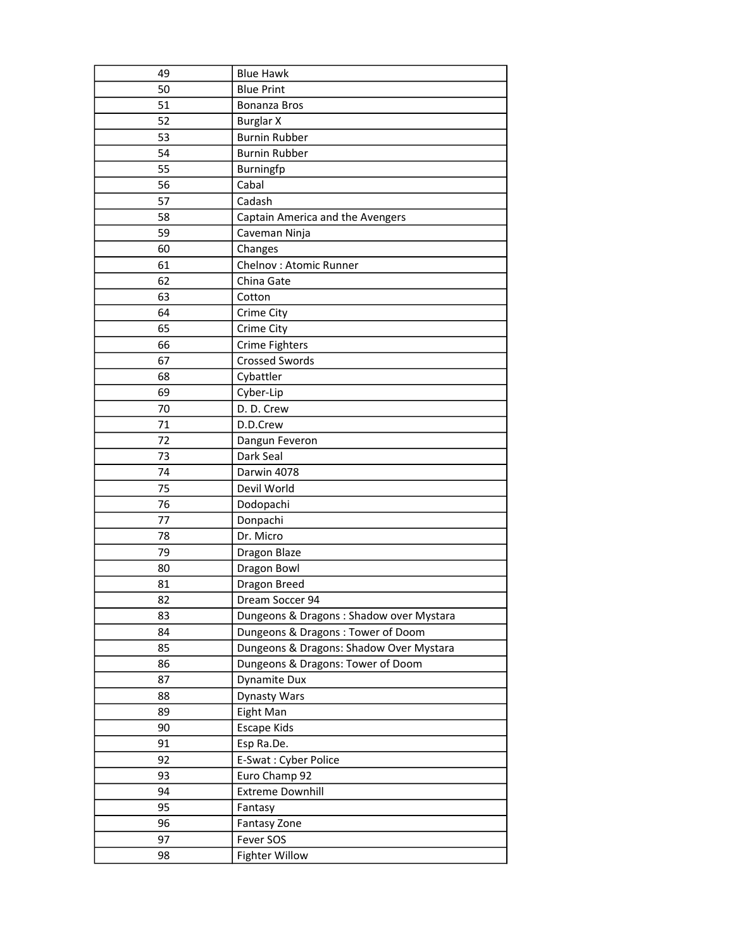| 49 | <b>Blue Hawk</b>                         |
|----|------------------------------------------|
| 50 | <b>Blue Print</b>                        |
| 51 | Bonanza Bros                             |
| 52 | <b>Burglar X</b>                         |
| 53 | <b>Burnin Rubber</b>                     |
| 54 | <b>Burnin Rubber</b>                     |
| 55 | Burningfp                                |
| 56 | Cabal                                    |
| 57 | Cadash                                   |
| 58 | Captain America and the Avengers         |
| 59 | Caveman Ninja                            |
| 60 | Changes                                  |
| 61 | Chelnov: Atomic Runner                   |
| 62 | China Gate                               |
| 63 | Cotton                                   |
| 64 | Crime City                               |
| 65 | Crime City                               |
| 66 | <b>Crime Fighters</b>                    |
| 67 | <b>Crossed Swords</b>                    |
| 68 | Cybattler                                |
| 69 | Cyber-Lip                                |
| 70 | D. D. Crew                               |
| 71 | D.D.Crew                                 |
| 72 | Dangun Feveron                           |
| 73 | Dark Seal                                |
| 74 | Darwin 4078                              |
| 75 | Devil World                              |
| 76 | Dodopachi                                |
| 77 | Donpachi                                 |
| 78 | Dr. Micro                                |
| 79 | Dragon Blaze                             |
| 80 | Dragon Bowl                              |
| 81 | Dragon Breed                             |
| 82 | Dream Soccer 94                          |
| 83 | Dungeons & Dragons : Shadow over Mystara |
| 84 | Dungeons & Dragons: Tower of Doom        |
| 85 | Dungeons & Dragons: Shadow Over Mystara  |
| 86 | Dungeons & Dragons: Tower of Doom        |
| 87 | Dynamite Dux                             |
| 88 | Dynasty Wars                             |
| 89 | Eight Man                                |
| 90 | Escape Kids                              |
| 91 | Esp Ra.De.                               |
| 92 | E-Swat: Cyber Police                     |
| 93 | Euro Champ 92                            |
| 94 | <b>Extreme Downhill</b>                  |
| 95 | Fantasy                                  |
| 96 | Fantasy Zone                             |
| 97 | Fever SOS                                |
| 98 | <b>Fighter Willow</b>                    |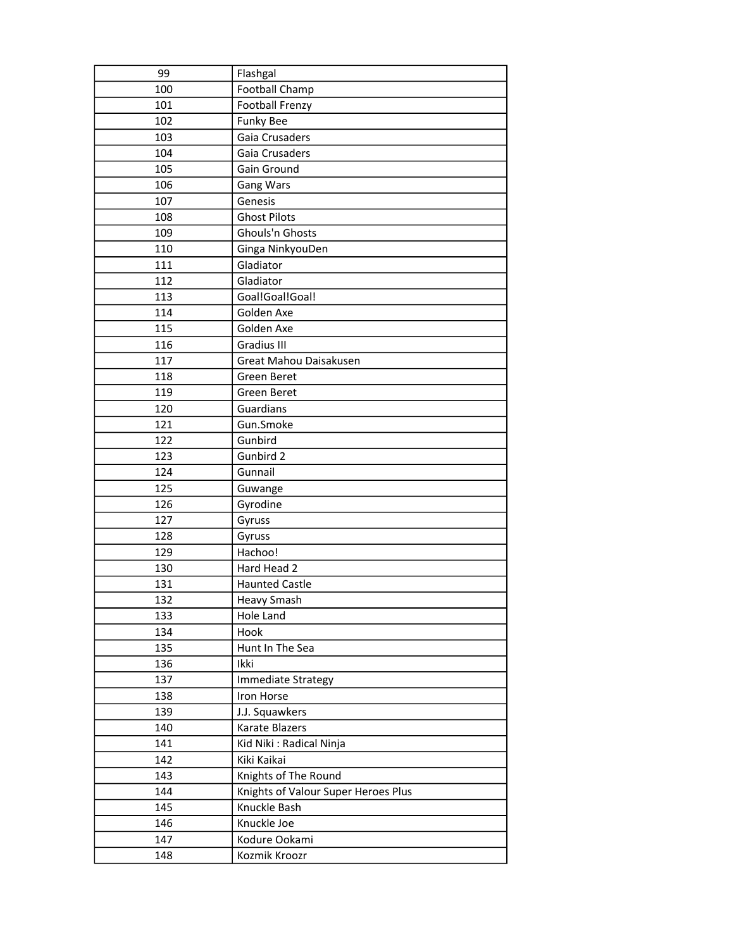| 99  | Flashgal                            |
|-----|-------------------------------------|
| 100 | Football Champ                      |
| 101 | Football Frenzy                     |
| 102 | <b>Funky Bee</b>                    |
| 103 | Gaia Crusaders                      |
| 104 | Gaia Crusaders                      |
| 105 | Gain Ground                         |
| 106 | <b>Gang Wars</b>                    |
| 107 | Genesis                             |
| 108 | <b>Ghost Pilots</b>                 |
| 109 | Ghouls'n Ghosts                     |
| 110 | Ginga NinkyouDen                    |
| 111 | Gladiator                           |
| 112 | Gladiator                           |
| 113 | Goal!Goal!Goal!                     |
| 114 | Golden Axe                          |
| 115 | Golden Axe                          |
| 116 | <b>Gradius III</b>                  |
| 117 | Great Mahou Daisakusen              |
| 118 | <b>Green Beret</b>                  |
| 119 | <b>Green Beret</b>                  |
| 120 | Guardians                           |
| 121 | Gun.Smoke                           |
| 122 | Gunbird                             |
| 123 | Gunbird 2                           |
| 124 | Gunnail                             |
| 125 | Guwange                             |
| 126 | Gyrodine                            |
| 127 | Gyruss                              |
| 128 | Gyruss                              |
| 129 | Hachoo!                             |
| 130 | Hard Head 2                         |
| 131 | <b>Haunted Castle</b>               |
| 132 | Heavy Smash                         |
| 133 | Hole Land                           |
| 134 | Hook                                |
| 135 | Hunt In The Sea                     |
| 136 | Ikki                                |
| 137 | Immediate Strategy                  |
| 138 | Iron Horse                          |
| 139 | J.J. Squawkers                      |
| 140 | Karate Blazers                      |
| 141 | Kid Niki: Radical Ninja             |
| 142 | Kiki Kaikai                         |
| 143 | Knights of The Round                |
| 144 | Knights of Valour Super Heroes Plus |
| 145 | Knuckle Bash                        |
| 146 | Knuckle Joe                         |
| 147 | Kodure Ookami                       |
| 148 | Kozmik Kroozr                       |
|     |                                     |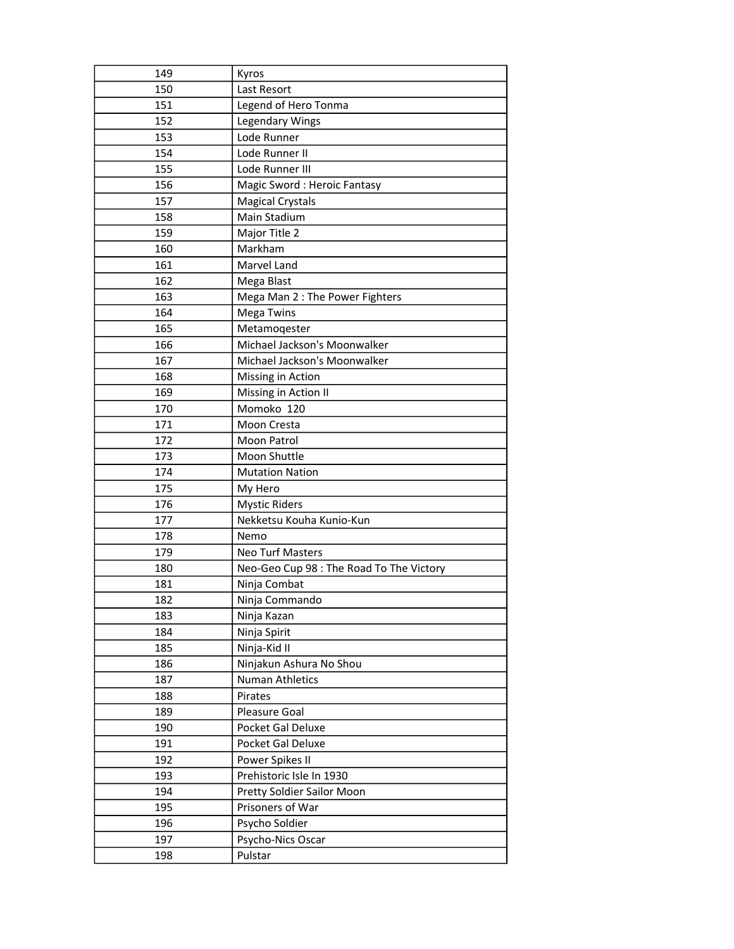| 149 | Kyros                                    |
|-----|------------------------------------------|
| 150 | Last Resort                              |
| 151 | Legend of Hero Tonma                     |
| 152 | Legendary Wings                          |
| 153 | Lode Runner                              |
| 154 | Lode Runner II                           |
| 155 | Lode Runner III                          |
| 156 | Magic Sword: Heroic Fantasy              |
| 157 | <b>Magical Crystals</b>                  |
| 158 | Main Stadium                             |
| 159 | Major Title 2                            |
| 160 | Markham                                  |
| 161 | Marvel Land                              |
| 162 | Mega Blast                               |
| 163 | Mega Man 2 : The Power Fighters          |
| 164 | Mega Twins                               |
| 165 | Metamoqester                             |
| 166 | Michael Jackson's Moonwalker             |
| 167 | Michael Jackson's Moonwalker             |
| 168 | Missing in Action                        |
| 169 | Missing in Action II                     |
| 170 | Momoko 120                               |
| 171 | Moon Cresta                              |
| 172 | Moon Patrol                              |
| 173 | Moon Shuttle                             |
|     |                                          |
| 174 | <b>Mutation Nation</b>                   |
| 175 | My Hero                                  |
| 176 | <b>Mystic Riders</b>                     |
| 177 | Nekketsu Kouha Kunio-Kun                 |
| 178 | Nemo                                     |
| 179 | <b>Neo Turf Masters</b>                  |
| 180 | Neo-Geo Cup 98 : The Road To The Victory |
| 181 | Ninja Combat                             |
| 182 | Ninja Commando                           |
| 183 | Ninja Kazan                              |
| 184 | Ninja Spirit                             |
| 185 | Ninja-Kid II                             |
| 186 | Ninjakun Ashura No Shou                  |
| 187 | Numan Athletics                          |
| 188 | Pirates                                  |
| 189 | Pleasure Goal                            |
| 190 | Pocket Gal Deluxe                        |
| 191 | Pocket Gal Deluxe                        |
| 192 | Power Spikes II                          |
| 193 | Prehistoric Isle In 1930                 |
| 194 | Pretty Soldier Sailor Moon               |
| 195 | Prisoners of War                         |
| 196 | Psycho Soldier                           |
| 197 | Psycho-Nics Oscar                        |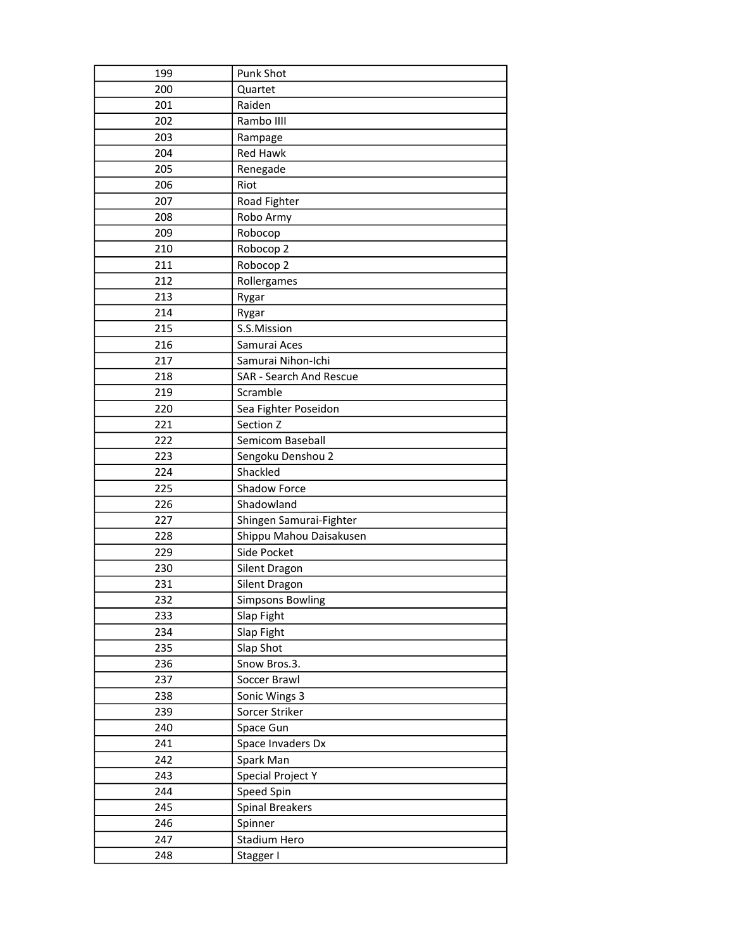| 199 | Punk Shot               |
|-----|-------------------------|
| 200 | Quartet                 |
| 201 | Raiden                  |
| 202 | Rambo IIII              |
| 203 | Rampage                 |
| 204 | <b>Red Hawk</b>         |
| 205 | Renegade                |
| 206 | Riot                    |
| 207 | Road Fighter            |
| 208 | Robo Army               |
| 209 | Robocop                 |
| 210 | Robocop 2               |
| 211 | Robocop 2               |
| 212 | Rollergames             |
| 213 | Rygar                   |
| 214 | Rygar                   |
| 215 | S.S.Mission             |
| 216 | Samurai Aces            |
| 217 | Samurai Nihon-Ichi      |
| 218 | SAR - Search And Rescue |
| 219 | Scramble                |
| 220 | Sea Fighter Poseidon    |
| 221 | Section Z               |
| 222 | Semicom Baseball        |
| 223 | Sengoku Denshou 2       |
| 224 | Shackled                |
| 225 | Shadow Force            |
| 226 | Shadowland              |
| 227 | Shingen Samurai-Fighter |
| 228 | Shippu Mahou Daisakusen |
| 229 | Side Pocket             |
| 230 | Silent Dragon           |
| 231 | Silent Dragon           |
| 232 | <b>Simpsons Bowling</b> |
| 233 | Slap Fight              |
| 234 | Slap Fight              |
| 235 | Slap Shot               |
| 236 | Snow Bros.3.            |
| 237 | Soccer Brawl            |
| 238 | Sonic Wings 3           |
| 239 | Sorcer Striker          |
| 240 | Space Gun               |
| 241 | Space Invaders Dx       |
| 242 | Spark Man               |
| 243 | Special Project Y       |
| 244 | Speed Spin              |
| 245 | <b>Spinal Breakers</b>  |
| 246 | Spinner                 |
| 247 | Stadium Hero            |
| 248 | Stagger I               |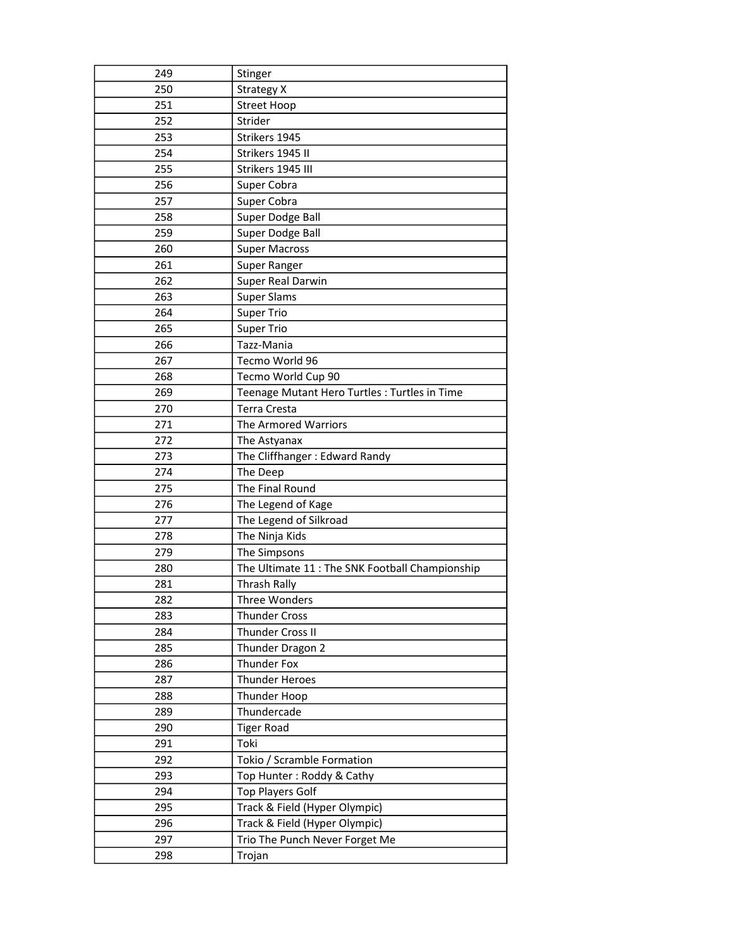| 249 |                                                |
|-----|------------------------------------------------|
|     | Stinger                                        |
| 250 | <b>Strategy X</b>                              |
| 251 | <b>Street Hoop</b>                             |
| 252 | Strider                                        |
| 253 | Strikers 1945                                  |
| 254 | Strikers 1945 II                               |
| 255 | Strikers 1945 III                              |
| 256 | Super Cobra                                    |
| 257 | Super Cobra                                    |
| 258 | Super Dodge Ball                               |
| 259 | Super Dodge Ball                               |
| 260 | <b>Super Macross</b>                           |
| 261 | Super Ranger                                   |
| 262 | Super Real Darwin                              |
| 263 | <b>Super Slams</b>                             |
| 264 | <b>Super Trio</b>                              |
| 265 | Super Trio                                     |
| 266 | Tazz-Mania                                     |
| 267 | Tecmo World 96                                 |
| 268 | Tecmo World Cup 90                             |
| 269 | Teenage Mutant Hero Turtles : Turtles in Time  |
| 270 | Terra Cresta                                   |
| 271 | The Armored Warriors                           |
| 272 | The Astyanax                                   |
| 273 | The Cliffhanger: Edward Randy                  |
| 274 | The Deep                                       |
| 275 | The Final Round                                |
|     |                                                |
| 276 | The Legend of Kage                             |
| 277 | The Legend of Silkroad                         |
| 278 | The Ninja Kids                                 |
| 279 | The Simpsons                                   |
| 280 | The Ultimate 11: The SNK Football Championship |
| 281 | Thrash Rally                                   |
| 282 | Three Wonders                                  |
| 283 | <b>Thunder Cross</b>                           |
| 284 | Thunder Cross II                               |
| 285 | Thunder Dragon 2                               |
| 286 | <b>Thunder Fox</b>                             |
| 287 | <b>Thunder Heroes</b>                          |
| 288 | Thunder Hoop                                   |
| 289 | Thundercade                                    |
| 290 | <b>Tiger Road</b>                              |
| 291 | Toki                                           |
| 292 | Tokio / Scramble Formation                     |
| 293 | Top Hunter: Roddy & Cathy                      |
| 294 | <b>Top Players Golf</b>                        |
| 295 | Track & Field (Hyper Olympic)                  |
| 296 | Track & Field (Hyper Olympic)                  |
| 297 | Trio The Punch Never Forget Me                 |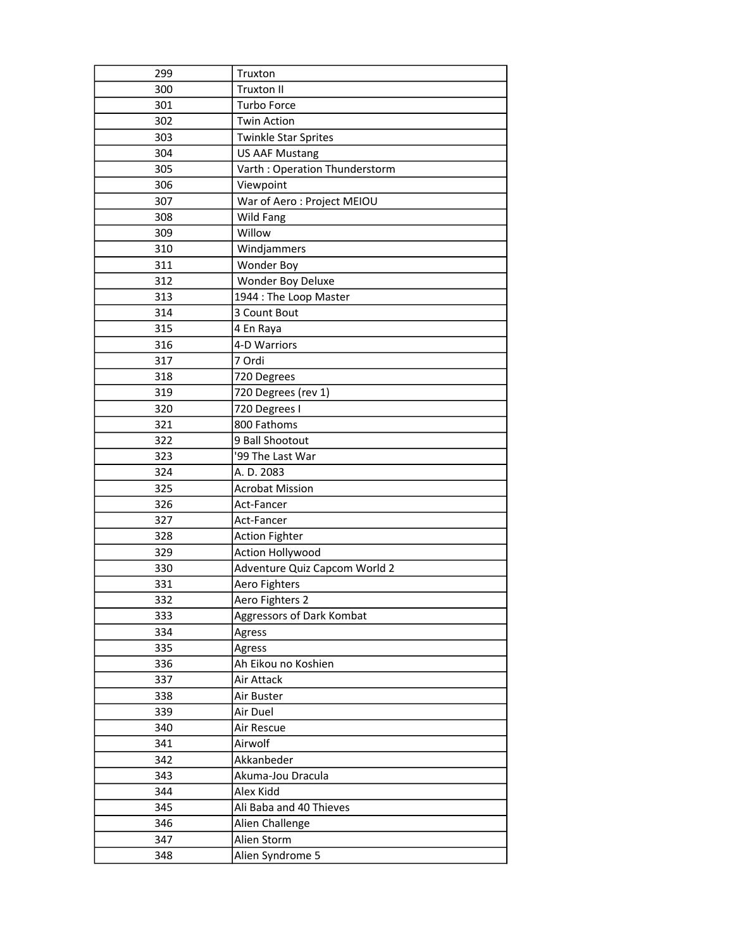| 299 | Truxton                         |
|-----|---------------------------------|
| 300 | Truxton II                      |
| 301 | Turbo Force                     |
| 302 | <b>Twin Action</b>              |
| 303 | <b>Twinkle Star Sprites</b>     |
| 304 | <b>US AAF Mustang</b>           |
| 305 | Varth: Operation Thunderstorm   |
| 306 | Viewpoint                       |
| 307 | War of Aero: Project MEIOU      |
| 308 | Wild Fang                       |
| 309 | Willow                          |
| 310 | Windjammers                     |
| 311 | <b>Wonder Boy</b>               |
| 312 | Wonder Boy Deluxe               |
| 313 | 1944 : The Loop Master          |
| 314 | 3 Count Bout                    |
| 315 | 4 En Raya                       |
| 316 | 4-D Warriors                    |
| 317 | 7 Ordi                          |
| 318 | 720 Degrees                     |
| 319 | 720 Degrees (rev 1)             |
| 320 | 720 Degrees I                   |
| 321 | 800 Fathoms                     |
| 322 | 9 Ball Shootout                 |
| 323 | '99 The Last War                |
|     |                                 |
| 324 | A. D. 2083                      |
| 325 | <b>Acrobat Mission</b>          |
| 326 | Act-Fancer                      |
| 327 | Act-Fancer                      |
| 328 | <b>Action Fighter</b>           |
| 329 | Action Hollywood                |
| 330 | Adventure Quiz Capcom World 2   |
| 331 | Aero Fighters                   |
| 332 | Aero Fighters 2                 |
| 333 | Aggressors of Dark Kombat       |
| 334 | Agress                          |
| 335 | Agress                          |
| 336 | Ah Eikou no Koshien             |
| 337 | Air Attack                      |
| 338 | Air Buster                      |
| 339 | Air Duel                        |
| 340 | Air Rescue                      |
| 341 | Airwolf                         |
| 342 | Akkanbeder                      |
| 343 | Akuma-Jou Dracula               |
| 344 | Alex Kidd                       |
| 345 | Ali Baba and 40 Thieves         |
| 346 | Alien Challenge                 |
| 347 | Alien Storm<br>Alien Syndrome 5 |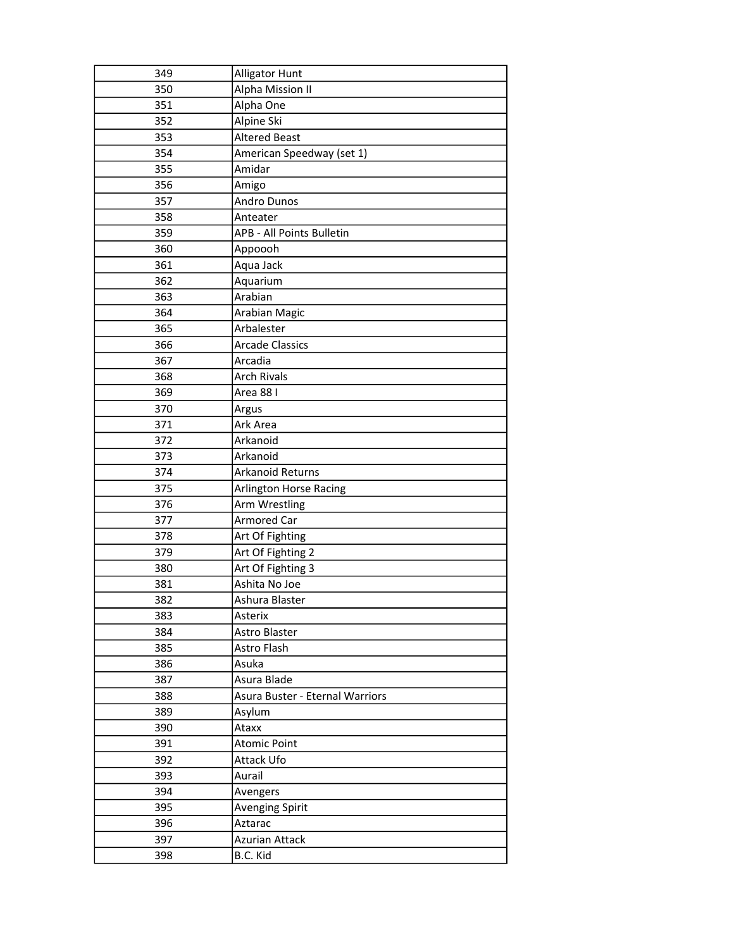| 349 | Alligator Hunt                  |
|-----|---------------------------------|
| 350 | Alpha Mission II                |
| 351 | Alpha One                       |
| 352 | Alpine Ski                      |
| 353 | <b>Altered Beast</b>            |
| 354 | American Speedway (set 1)       |
| 355 | Amidar                          |
| 356 | Amigo                           |
| 357 | Andro Dunos                     |
| 358 | Anteater                        |
| 359 | APB - All Points Bulletin       |
| 360 | Appoooh                         |
| 361 | Aqua Jack                       |
| 362 | Aquarium                        |
| 363 | Arabian                         |
| 364 | Arabian Magic                   |
| 365 | Arbalester                      |
| 366 | <b>Arcade Classics</b>          |
| 367 | Arcadia                         |
| 368 | <b>Arch Rivals</b>              |
| 369 | Area 88 I                       |
| 370 | Argus                           |
| 371 | Ark Area                        |
| 372 | Arkanoid                        |
| 373 | Arkanoid                        |
| 374 | Arkanoid Returns                |
| 375 | Arlington Horse Racing          |
| 376 | Arm Wrestling                   |
| 377 | <b>Armored Car</b>              |
| 378 | Art Of Fighting                 |
| 379 | Art Of Fighting 2               |
| 380 | Art Of Fighting 3               |
| 381 | Ashita No Joe                   |
| 382 | Ashura Blaster                  |
| 383 | Asterix                         |
| 384 | Astro Blaster                   |
| 385 | Astro Flash                     |
| 386 | Asuka                           |
| 387 | Asura Blade                     |
| 388 | Asura Buster - Eternal Warriors |
| 389 | Asylum                          |
| 390 | Ataxx                           |
| 391 | <b>Atomic Point</b>             |
| 392 | Attack Ufo                      |
| 393 | Aurail                          |
| 394 | Avengers                        |
| 395 | Avenging Spirit                 |
| 396 | Aztarac                         |
| 397 | <b>Azurian Attack</b>           |
| 398 | B.C. Kid                        |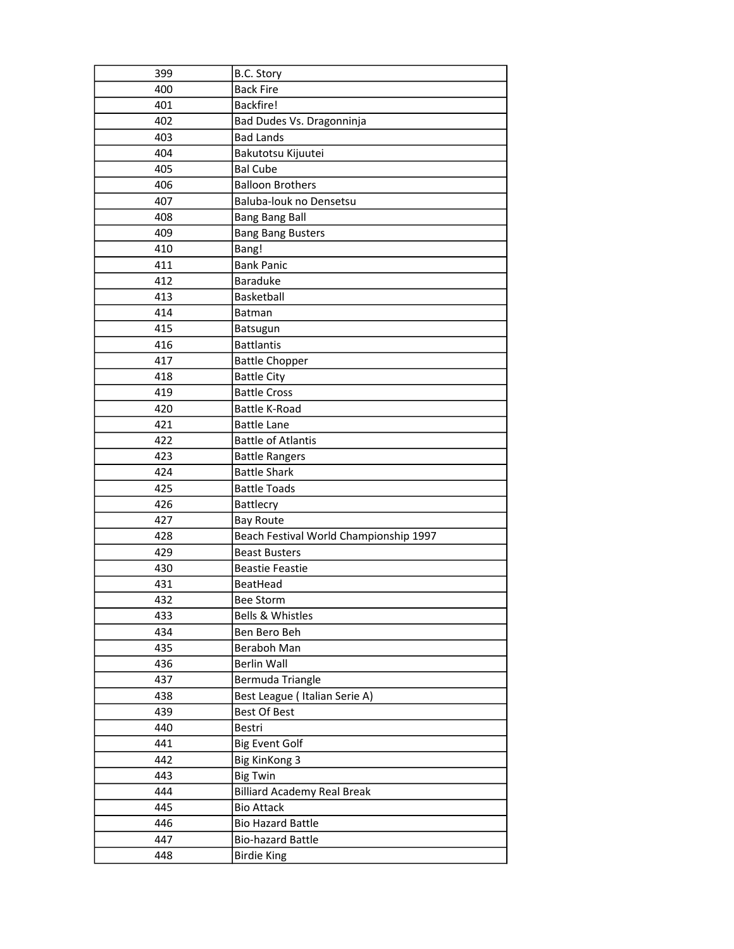| 399 | B.C. Story                             |
|-----|----------------------------------------|
| 400 | <b>Back Fire</b>                       |
| 401 | Backfire!                              |
| 402 | Bad Dudes Vs. Dragonninja              |
| 403 | <b>Bad Lands</b>                       |
| 404 | Bakutotsu Kijuutei                     |
| 405 | <b>Bal Cube</b>                        |
| 406 | <b>Balloon Brothers</b>                |
| 407 | Baluba-louk no Densetsu                |
| 408 | <b>Bang Bang Ball</b>                  |
| 409 | <b>Bang Bang Busters</b>               |
| 410 | Bang!                                  |
| 411 | <b>Bank Panic</b>                      |
| 412 | <b>Baraduke</b>                        |
| 413 | Basketball                             |
| 414 | <b>Batman</b>                          |
| 415 | Batsugun                               |
| 416 | <b>Battlantis</b>                      |
| 417 | <b>Battle Chopper</b>                  |
| 418 | <b>Battle City</b>                     |
| 419 | <b>Battle Cross</b>                    |
| 420 | <b>Battle K-Road</b>                   |
| 421 | <b>Battle Lane</b>                     |
| 422 | <b>Battle of Atlantis</b>              |
| 423 | <b>Battle Rangers</b>                  |
| 424 | <b>Battle Shark</b>                    |
| 425 | <b>Battle Toads</b>                    |
| 426 | Battlecry                              |
| 427 | <b>Bay Route</b>                       |
| 428 | Beach Festival World Championship 1997 |
| 429 | <b>Beast Busters</b>                   |
| 430 | <b>Beastie Feastie</b>                 |
| 431 | BeatHead                               |
| 432 | Bee Storm                              |
| 433 | Bells & Whistles                       |
| 434 | Ben Bero Beh                           |
| 435 | Beraboh Man                            |
| 436 | <b>Berlin Wall</b>                     |
| 437 | Bermuda Triangle                       |
| 438 | Best League (Italian Serie A)          |
| 439 | Best Of Best                           |
| 440 | Bestri                                 |
| 441 | <b>Big Event Golf</b>                  |
| 442 | <b>Big KinKong 3</b>                   |
| 443 | <b>Big Twin</b>                        |
| 444 | <b>Billiard Academy Real Break</b>     |
| 445 | <b>Bio Attack</b>                      |
| 446 | <b>Bio Hazard Battle</b>               |
| 447 | <b>Bio-hazard Battle</b>               |
| 448 | <b>Birdie King</b>                     |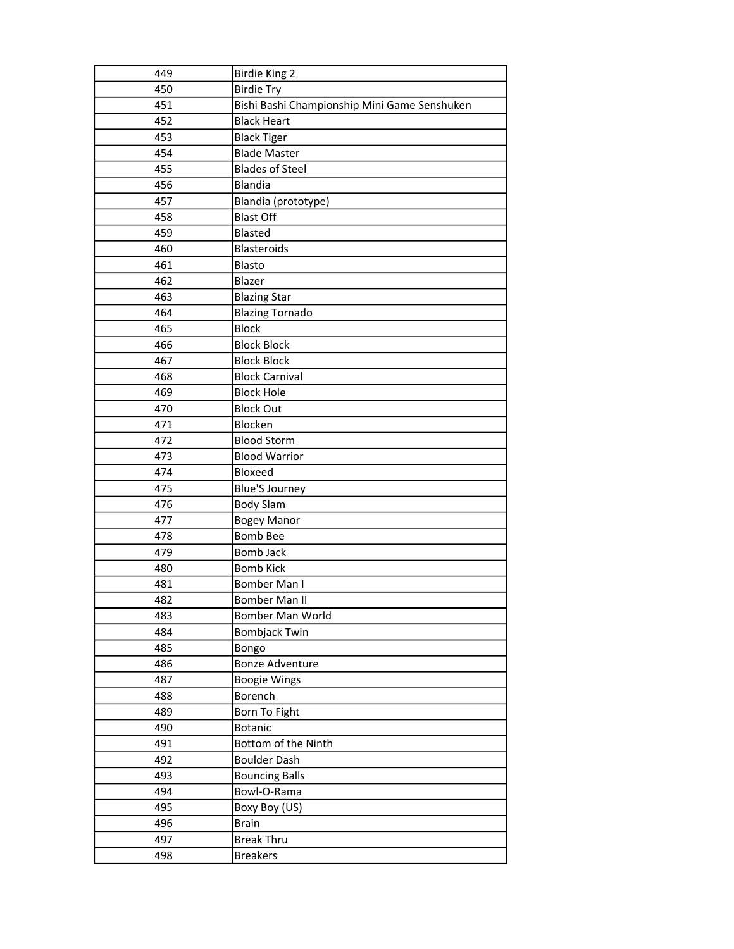| 449 | <b>Birdie King 2</b>                         |  |  |
|-----|----------------------------------------------|--|--|
| 450 | <b>Birdie Try</b>                            |  |  |
| 451 | Bishi Bashi Championship Mini Game Senshuken |  |  |
| 452 | <b>Black Heart</b>                           |  |  |
| 453 | <b>Black Tiger</b>                           |  |  |
| 454 | <b>Blade Master</b>                          |  |  |
| 455 | <b>Blades of Steel</b>                       |  |  |
| 456 | <b>Blandia</b>                               |  |  |
| 457 | Blandia (prototype)                          |  |  |
| 458 | <b>Blast Off</b>                             |  |  |
| 459 | <b>Blasted</b>                               |  |  |
| 460 | <b>Blasteroids</b>                           |  |  |
| 461 | Blasto                                       |  |  |
| 462 | Blazer                                       |  |  |
| 463 | <b>Blazing Star</b>                          |  |  |
| 464 | <b>Blazing Tornado</b>                       |  |  |
| 465 | <b>Block</b>                                 |  |  |
| 466 | <b>Block Block</b>                           |  |  |
| 467 | <b>Block Block</b>                           |  |  |
| 468 | <b>Block Carnival</b>                        |  |  |
| 469 | <b>Block Hole</b>                            |  |  |
| 470 | <b>Block Out</b>                             |  |  |
| 471 | Blocken                                      |  |  |
| 472 | <b>Blood Storm</b>                           |  |  |
| 473 | <b>Blood Warrior</b>                         |  |  |
| 474 | Bloxeed                                      |  |  |
| 475 | <b>Blue'S Journey</b>                        |  |  |
| 476 | <b>Body Slam</b>                             |  |  |
| 477 | <b>Bogey Manor</b>                           |  |  |
| 478 | <b>Bomb Bee</b>                              |  |  |
| 479 | Bomb Jack                                    |  |  |
| 480 | <b>Bomb Kick</b>                             |  |  |
| 481 | Bomber Man I                                 |  |  |
| 482 | Bomber Man II                                |  |  |
| 483 | Bomber Man World                             |  |  |
| 484 | <b>Bombjack Twin</b>                         |  |  |
| 485 | Bongo                                        |  |  |
| 486 | <b>Bonze Adventure</b>                       |  |  |
| 487 | <b>Boogie Wings</b>                          |  |  |
| 488 | Borench                                      |  |  |
| 489 | Born To Fight                                |  |  |
| 490 | <b>Botanic</b>                               |  |  |
| 491 | Bottom of the Ninth                          |  |  |
| 492 | <b>Boulder Dash</b>                          |  |  |
| 493 | <b>Bouncing Balls</b>                        |  |  |
| 494 | Bowl-O-Rama                                  |  |  |
| 495 | Boxy Boy (US)                                |  |  |
| 496 | <b>Brain</b>                                 |  |  |
| 497 | <b>Break Thru</b>                            |  |  |
| 498 | <b>Breakers</b>                              |  |  |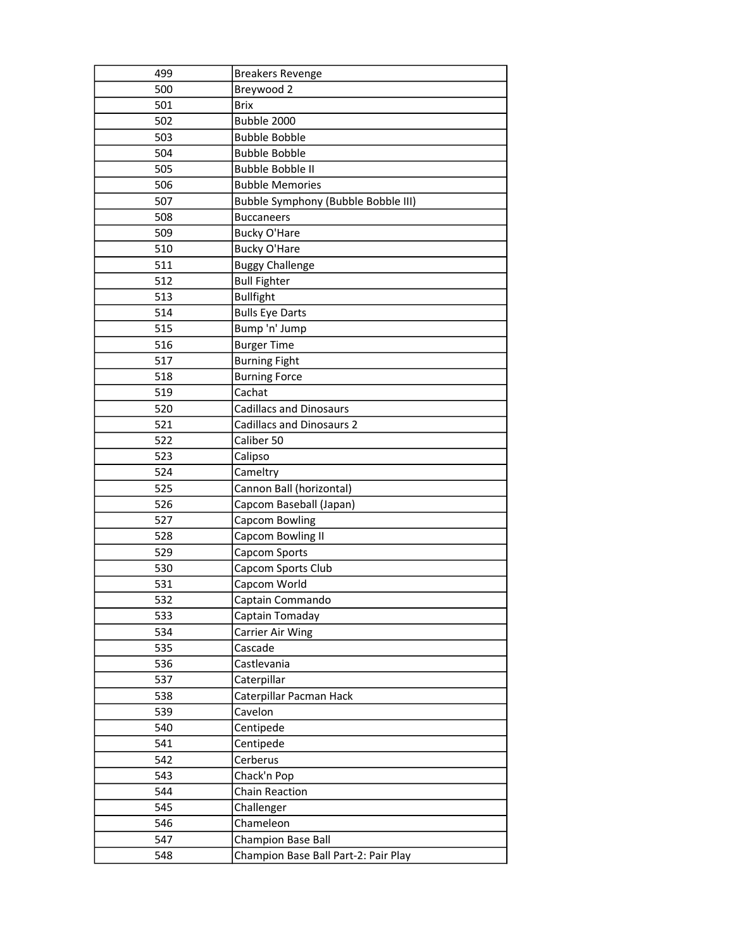| 499 | <b>Breakers Revenge</b>              |
|-----|--------------------------------------|
| 500 | Breywood 2                           |
| 501 | <b>Brix</b>                          |
| 502 | Bubble 2000                          |
| 503 | <b>Bubble Bobble</b>                 |
| 504 | <b>Bubble Bobble</b>                 |
| 505 | Bubble Bobble II                     |
| 506 | <b>Bubble Memories</b>               |
| 507 | Bubble Symphony (Bubble Bobble III)  |
| 508 | <b>Buccaneers</b>                    |
| 509 | <b>Bucky O'Hare</b>                  |
| 510 | <b>Bucky O'Hare</b>                  |
| 511 | <b>Buggy Challenge</b>               |
| 512 | <b>Bull Fighter</b>                  |
| 513 | <b>Bullfight</b>                     |
| 514 | <b>Bulls Eye Darts</b>               |
| 515 | Bump 'n' Jump                        |
| 516 | <b>Burger Time</b>                   |
| 517 | <b>Burning Fight</b>                 |
| 518 | <b>Burning Force</b>                 |
| 519 | Cachat                               |
| 520 | <b>Cadillacs and Dinosaurs</b>       |
| 521 | <b>Cadillacs and Dinosaurs 2</b>     |
| 522 | Caliber 50                           |
| 523 | Calipso                              |
| 524 | Cameltry                             |
| 525 | Cannon Ball (horizontal)             |
| 526 | Capcom Baseball (Japan)              |
| 527 | Capcom Bowling                       |
| 528 | Capcom Bowling II                    |
| 529 | Capcom Sports                        |
| 530 | Capcom Sports Club                   |
| 531 | Capcom World                         |
| 532 | Captain Commando                     |
| 533 | Captain Tomaday                      |
| 534 | Carrier Air Wing                     |
| 535 | Cascade                              |
| 536 | Castlevania                          |
| 537 | Caterpillar                          |
| 538 | Caterpillar Pacman Hack              |
| 539 | Cavelon                              |
| 540 | Centipede                            |
| 541 | Centipede                            |
| 542 | Cerberus                             |
| 543 | Chack'n Pop                          |
| 544 | <b>Chain Reaction</b>                |
| 545 | Challenger                           |
| 546 | Chameleon                            |
| 547 | Champion Base Ball                   |
| 548 | Champion Base Ball Part-2: Pair Play |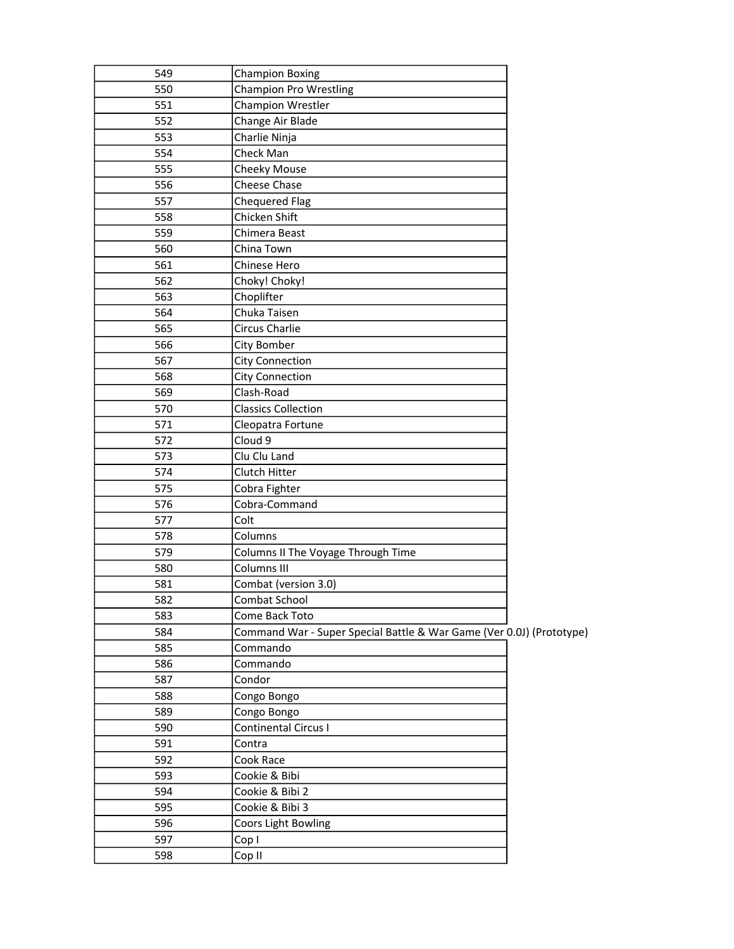| <b>Champion Pro Wrestling</b><br>550<br>Champion Wrestler<br>551<br>Change Air Blade<br>552<br>Charlie Ninja<br>553<br>Check Man<br>554<br>555<br>Cheeky Mouse<br>556<br>Cheese Chase<br><b>Chequered Flag</b><br>557<br>Chicken Shift<br>558<br>Chimera Beast<br>559<br>560<br>China Town<br>561<br>Chinese Hero<br>Choky! Choky!<br>562<br>Choplifter<br>563<br>564<br>Chuka Taisen<br>Circus Charlie<br>565<br>City Bomber<br>566<br>567<br><b>City Connection</b><br><b>City Connection</b><br>568<br>Clash-Road<br>569<br>570<br><b>Classics Collection</b><br>571<br>Cleopatra Fortune<br>Cloud 9<br>572<br>Clu Clu Land<br>573<br>574<br>Clutch Hitter<br>Cobra Fighter<br>575<br>Cobra-Command<br>576<br>Colt<br>577<br>578<br>Columns<br>579<br>Columns II The Voyage Through Time<br>Columns III<br>580<br>Combat (version 3.0)<br>581<br>582<br>Combat School<br>583<br>Come Back Toto<br>Command War - Super Special Battle & War Game (Ver 0.0J) (Prototype)<br>584<br>585<br>Commando<br>Commando<br>586<br>Condor<br>587<br>588<br>Congo Bongo<br>589<br>Congo Bongo<br>Continental Circus I<br>590<br>591<br>Contra<br>592<br>Cook Race<br>593<br>Cookie & Bibi<br>Cookie & Bibi 2<br>594<br>Cookie & Bibi 3<br>595<br>596<br>Coors Light Bowling<br>597<br>Cop I<br>598<br>Cop II |     |                        |  |
|----------------------------------------------------------------------------------------------------------------------------------------------------------------------------------------------------------------------------------------------------------------------------------------------------------------------------------------------------------------------------------------------------------------------------------------------------------------------------------------------------------------------------------------------------------------------------------------------------------------------------------------------------------------------------------------------------------------------------------------------------------------------------------------------------------------------------------------------------------------------------------------------------------------------------------------------------------------------------------------------------------------------------------------------------------------------------------------------------------------------------------------------------------------------------------------------------------------------------------------------------------------------------------------------------|-----|------------------------|--|
|                                                                                                                                                                                                                                                                                                                                                                                                                                                                                                                                                                                                                                                                                                                                                                                                                                                                                                                                                                                                                                                                                                                                                                                                                                                                                                    | 549 | <b>Champion Boxing</b> |  |
|                                                                                                                                                                                                                                                                                                                                                                                                                                                                                                                                                                                                                                                                                                                                                                                                                                                                                                                                                                                                                                                                                                                                                                                                                                                                                                    |     |                        |  |
|                                                                                                                                                                                                                                                                                                                                                                                                                                                                                                                                                                                                                                                                                                                                                                                                                                                                                                                                                                                                                                                                                                                                                                                                                                                                                                    |     |                        |  |
|                                                                                                                                                                                                                                                                                                                                                                                                                                                                                                                                                                                                                                                                                                                                                                                                                                                                                                                                                                                                                                                                                                                                                                                                                                                                                                    |     |                        |  |
|                                                                                                                                                                                                                                                                                                                                                                                                                                                                                                                                                                                                                                                                                                                                                                                                                                                                                                                                                                                                                                                                                                                                                                                                                                                                                                    |     |                        |  |
|                                                                                                                                                                                                                                                                                                                                                                                                                                                                                                                                                                                                                                                                                                                                                                                                                                                                                                                                                                                                                                                                                                                                                                                                                                                                                                    |     |                        |  |
|                                                                                                                                                                                                                                                                                                                                                                                                                                                                                                                                                                                                                                                                                                                                                                                                                                                                                                                                                                                                                                                                                                                                                                                                                                                                                                    |     |                        |  |
|                                                                                                                                                                                                                                                                                                                                                                                                                                                                                                                                                                                                                                                                                                                                                                                                                                                                                                                                                                                                                                                                                                                                                                                                                                                                                                    |     |                        |  |
|                                                                                                                                                                                                                                                                                                                                                                                                                                                                                                                                                                                                                                                                                                                                                                                                                                                                                                                                                                                                                                                                                                                                                                                                                                                                                                    |     |                        |  |
|                                                                                                                                                                                                                                                                                                                                                                                                                                                                                                                                                                                                                                                                                                                                                                                                                                                                                                                                                                                                                                                                                                                                                                                                                                                                                                    |     |                        |  |
|                                                                                                                                                                                                                                                                                                                                                                                                                                                                                                                                                                                                                                                                                                                                                                                                                                                                                                                                                                                                                                                                                                                                                                                                                                                                                                    |     |                        |  |
|                                                                                                                                                                                                                                                                                                                                                                                                                                                                                                                                                                                                                                                                                                                                                                                                                                                                                                                                                                                                                                                                                                                                                                                                                                                                                                    |     |                        |  |
|                                                                                                                                                                                                                                                                                                                                                                                                                                                                                                                                                                                                                                                                                                                                                                                                                                                                                                                                                                                                                                                                                                                                                                                                                                                                                                    |     |                        |  |
|                                                                                                                                                                                                                                                                                                                                                                                                                                                                                                                                                                                                                                                                                                                                                                                                                                                                                                                                                                                                                                                                                                                                                                                                                                                                                                    |     |                        |  |
|                                                                                                                                                                                                                                                                                                                                                                                                                                                                                                                                                                                                                                                                                                                                                                                                                                                                                                                                                                                                                                                                                                                                                                                                                                                                                                    |     |                        |  |
|                                                                                                                                                                                                                                                                                                                                                                                                                                                                                                                                                                                                                                                                                                                                                                                                                                                                                                                                                                                                                                                                                                                                                                                                                                                                                                    |     |                        |  |
|                                                                                                                                                                                                                                                                                                                                                                                                                                                                                                                                                                                                                                                                                                                                                                                                                                                                                                                                                                                                                                                                                                                                                                                                                                                                                                    |     |                        |  |
|                                                                                                                                                                                                                                                                                                                                                                                                                                                                                                                                                                                                                                                                                                                                                                                                                                                                                                                                                                                                                                                                                                                                                                                                                                                                                                    |     |                        |  |
|                                                                                                                                                                                                                                                                                                                                                                                                                                                                                                                                                                                                                                                                                                                                                                                                                                                                                                                                                                                                                                                                                                                                                                                                                                                                                                    |     |                        |  |
|                                                                                                                                                                                                                                                                                                                                                                                                                                                                                                                                                                                                                                                                                                                                                                                                                                                                                                                                                                                                                                                                                                                                                                                                                                                                                                    |     |                        |  |
|                                                                                                                                                                                                                                                                                                                                                                                                                                                                                                                                                                                                                                                                                                                                                                                                                                                                                                                                                                                                                                                                                                                                                                                                                                                                                                    |     |                        |  |
|                                                                                                                                                                                                                                                                                                                                                                                                                                                                                                                                                                                                                                                                                                                                                                                                                                                                                                                                                                                                                                                                                                                                                                                                                                                                                                    |     |                        |  |
|                                                                                                                                                                                                                                                                                                                                                                                                                                                                                                                                                                                                                                                                                                                                                                                                                                                                                                                                                                                                                                                                                                                                                                                                                                                                                                    |     |                        |  |
|                                                                                                                                                                                                                                                                                                                                                                                                                                                                                                                                                                                                                                                                                                                                                                                                                                                                                                                                                                                                                                                                                                                                                                                                                                                                                                    |     |                        |  |
|                                                                                                                                                                                                                                                                                                                                                                                                                                                                                                                                                                                                                                                                                                                                                                                                                                                                                                                                                                                                                                                                                                                                                                                                                                                                                                    |     |                        |  |
|                                                                                                                                                                                                                                                                                                                                                                                                                                                                                                                                                                                                                                                                                                                                                                                                                                                                                                                                                                                                                                                                                                                                                                                                                                                                                                    |     |                        |  |
|                                                                                                                                                                                                                                                                                                                                                                                                                                                                                                                                                                                                                                                                                                                                                                                                                                                                                                                                                                                                                                                                                                                                                                                                                                                                                                    |     |                        |  |
|                                                                                                                                                                                                                                                                                                                                                                                                                                                                                                                                                                                                                                                                                                                                                                                                                                                                                                                                                                                                                                                                                                                                                                                                                                                                                                    |     |                        |  |
|                                                                                                                                                                                                                                                                                                                                                                                                                                                                                                                                                                                                                                                                                                                                                                                                                                                                                                                                                                                                                                                                                                                                                                                                                                                                                                    |     |                        |  |
|                                                                                                                                                                                                                                                                                                                                                                                                                                                                                                                                                                                                                                                                                                                                                                                                                                                                                                                                                                                                                                                                                                                                                                                                                                                                                                    |     |                        |  |
|                                                                                                                                                                                                                                                                                                                                                                                                                                                                                                                                                                                                                                                                                                                                                                                                                                                                                                                                                                                                                                                                                                                                                                                                                                                                                                    |     |                        |  |
|                                                                                                                                                                                                                                                                                                                                                                                                                                                                                                                                                                                                                                                                                                                                                                                                                                                                                                                                                                                                                                                                                                                                                                                                                                                                                                    |     |                        |  |
|                                                                                                                                                                                                                                                                                                                                                                                                                                                                                                                                                                                                                                                                                                                                                                                                                                                                                                                                                                                                                                                                                                                                                                                                                                                                                                    |     |                        |  |
|                                                                                                                                                                                                                                                                                                                                                                                                                                                                                                                                                                                                                                                                                                                                                                                                                                                                                                                                                                                                                                                                                                                                                                                                                                                                                                    |     |                        |  |
|                                                                                                                                                                                                                                                                                                                                                                                                                                                                                                                                                                                                                                                                                                                                                                                                                                                                                                                                                                                                                                                                                                                                                                                                                                                                                                    |     |                        |  |
|                                                                                                                                                                                                                                                                                                                                                                                                                                                                                                                                                                                                                                                                                                                                                                                                                                                                                                                                                                                                                                                                                                                                                                                                                                                                                                    |     |                        |  |
|                                                                                                                                                                                                                                                                                                                                                                                                                                                                                                                                                                                                                                                                                                                                                                                                                                                                                                                                                                                                                                                                                                                                                                                                                                                                                                    |     |                        |  |
|                                                                                                                                                                                                                                                                                                                                                                                                                                                                                                                                                                                                                                                                                                                                                                                                                                                                                                                                                                                                                                                                                                                                                                                                                                                                                                    |     |                        |  |
|                                                                                                                                                                                                                                                                                                                                                                                                                                                                                                                                                                                                                                                                                                                                                                                                                                                                                                                                                                                                                                                                                                                                                                                                                                                                                                    |     |                        |  |
|                                                                                                                                                                                                                                                                                                                                                                                                                                                                                                                                                                                                                                                                                                                                                                                                                                                                                                                                                                                                                                                                                                                                                                                                                                                                                                    |     |                        |  |
|                                                                                                                                                                                                                                                                                                                                                                                                                                                                                                                                                                                                                                                                                                                                                                                                                                                                                                                                                                                                                                                                                                                                                                                                                                                                                                    |     |                        |  |
|                                                                                                                                                                                                                                                                                                                                                                                                                                                                                                                                                                                                                                                                                                                                                                                                                                                                                                                                                                                                                                                                                                                                                                                                                                                                                                    |     |                        |  |
|                                                                                                                                                                                                                                                                                                                                                                                                                                                                                                                                                                                                                                                                                                                                                                                                                                                                                                                                                                                                                                                                                                                                                                                                                                                                                                    |     |                        |  |
|                                                                                                                                                                                                                                                                                                                                                                                                                                                                                                                                                                                                                                                                                                                                                                                                                                                                                                                                                                                                                                                                                                                                                                                                                                                                                                    |     |                        |  |
|                                                                                                                                                                                                                                                                                                                                                                                                                                                                                                                                                                                                                                                                                                                                                                                                                                                                                                                                                                                                                                                                                                                                                                                                                                                                                                    |     |                        |  |
|                                                                                                                                                                                                                                                                                                                                                                                                                                                                                                                                                                                                                                                                                                                                                                                                                                                                                                                                                                                                                                                                                                                                                                                                                                                                                                    |     |                        |  |
|                                                                                                                                                                                                                                                                                                                                                                                                                                                                                                                                                                                                                                                                                                                                                                                                                                                                                                                                                                                                                                                                                                                                                                                                                                                                                                    |     |                        |  |
|                                                                                                                                                                                                                                                                                                                                                                                                                                                                                                                                                                                                                                                                                                                                                                                                                                                                                                                                                                                                                                                                                                                                                                                                                                                                                                    |     |                        |  |
|                                                                                                                                                                                                                                                                                                                                                                                                                                                                                                                                                                                                                                                                                                                                                                                                                                                                                                                                                                                                                                                                                                                                                                                                                                                                                                    |     |                        |  |
|                                                                                                                                                                                                                                                                                                                                                                                                                                                                                                                                                                                                                                                                                                                                                                                                                                                                                                                                                                                                                                                                                                                                                                                                                                                                                                    |     |                        |  |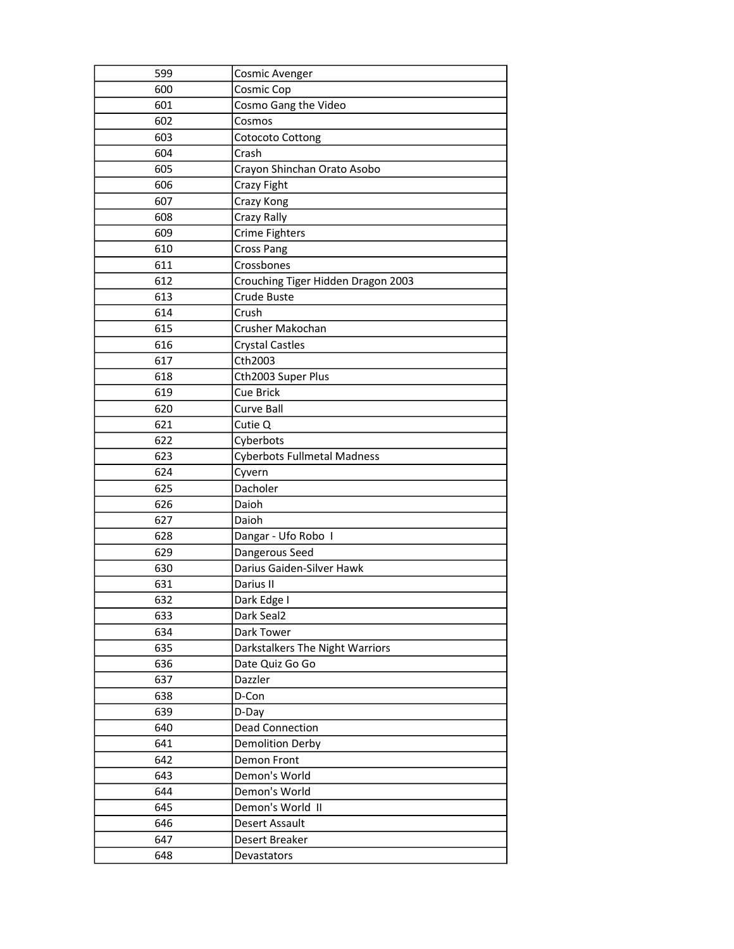| 599 | <b>Cosmic Avenger</b>              |
|-----|------------------------------------|
| 600 | Cosmic Cop                         |
| 601 | Cosmo Gang the Video               |
| 602 | Cosmos                             |
| 603 | <b>Cotocoto Cottong</b>            |
| 604 | Crash                              |
| 605 | Crayon Shinchan Orato Asobo        |
| 606 | Crazy Fight                        |
| 607 | Crazy Kong                         |
| 608 | Crazy Rally                        |
| 609 | Crime Fighters                     |
| 610 | <b>Cross Pang</b>                  |
| 611 | Crossbones                         |
| 612 | Crouching Tiger Hidden Dragon 2003 |
| 613 | Crude Buste                        |
| 614 | Crush                              |
| 615 | Crusher Makochan                   |
| 616 | <b>Crystal Castles</b>             |
| 617 | Cth2003                            |
| 618 | Cth2003 Super Plus                 |
| 619 | <b>Cue Brick</b>                   |
| 620 | Curve Ball                         |
| 621 | Cutie Q                            |
| 622 | Cyberbots                          |
| 623 | <b>Cyberbots Fullmetal Madness</b> |
| 624 | Cyvern                             |
| 625 | Dacholer                           |
| 626 | Daioh                              |
| 627 | Daioh                              |
| 628 | Dangar - Ufo Robo I                |
| 629 | Dangerous Seed                     |
| 630 | Darius Gaiden-Silver Hawk          |
| 631 | Darius II                          |
| 632 | Dark Edge I                        |
| 633 | Dark Seal2                         |
| 634 | Dark Tower                         |
| 635 | Darkstalkers The Night Warriors    |
| 636 | Date Quiz Go Go                    |
| 637 | Dazzler                            |
| 638 | D-Con                              |
| 639 | D-Day                              |
| 640 | <b>Dead Connection</b>             |
| 641 | <b>Demolition Derby</b>            |
| 642 | Demon Front                        |
| 643 | Demon's World                      |
| 644 | Demon's World                      |
| 645 | Demon's World II                   |
| 646 | Desert Assault                     |
| 647 | Desert Breaker                     |
| 648 | Devastators                        |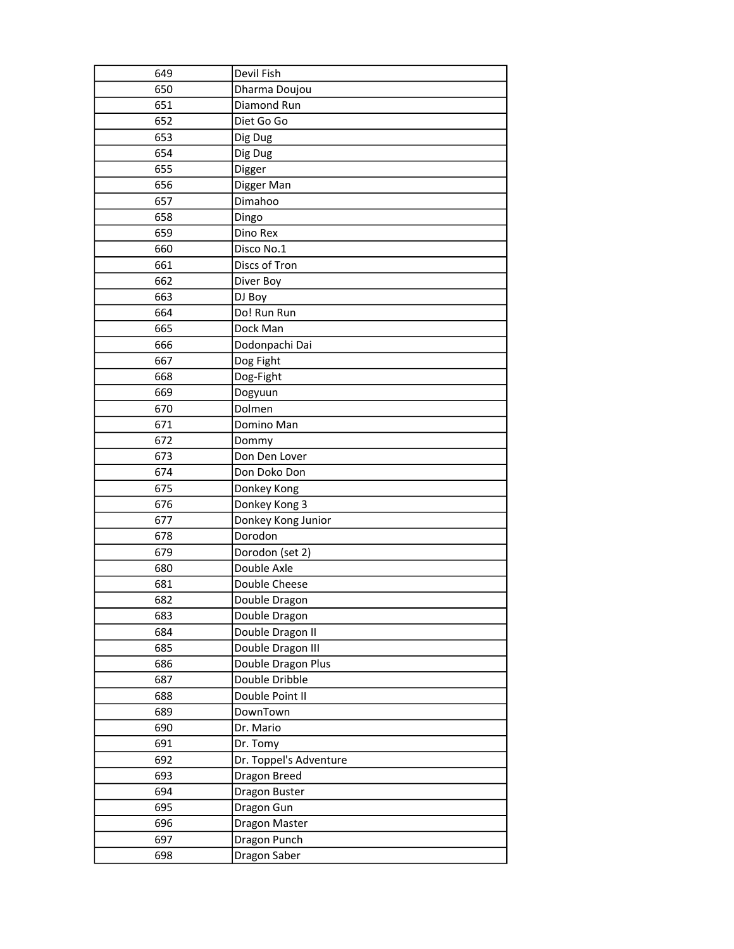| 649 | Devil Fish             |
|-----|------------------------|
| 650 | Dharma Doujou          |
| 651 | Diamond Run            |
| 652 | Diet Go Go             |
| 653 | Dig Dug                |
| 654 | Dig Dug                |
| 655 | Digger                 |
| 656 | Digger Man             |
| 657 | Dimahoo                |
| 658 | Dingo                  |
| 659 | Dino Rex               |
| 660 | Disco No.1             |
| 661 | Discs of Tron          |
| 662 | Diver Boy              |
| 663 | DJ Boy                 |
| 664 | Do! Run Run            |
| 665 | Dock Man               |
| 666 | Dodonpachi Dai         |
| 667 | Dog Fight              |
| 668 | Dog-Fight              |
| 669 | Dogyuun                |
| 670 | Dolmen                 |
| 671 | Domino Man             |
| 672 | Dommy                  |
| 673 | Don Den Lover          |
| 674 | Don Doko Don           |
| 675 | Donkey Kong            |
| 676 | Donkey Kong 3          |
| 677 | Donkey Kong Junior     |
| 678 | Dorodon                |
| 679 | Dorodon (set 2)        |
| 680 | Double Axle            |
| 681 | Double Cheese          |
| 682 | Double Dragon          |
| 683 | Double Dragon          |
| 684 | Double Dragon II       |
| 685 | Double Dragon III      |
| 686 | Double Dragon Plus     |
| 687 | Double Dribble         |
| 688 | Double Point II        |
| 689 | DownTown               |
| 690 | Dr. Mario              |
| 691 | Dr. Tomy               |
| 692 | Dr. Toppel's Adventure |
| 693 | Dragon Breed           |
| 694 | Dragon Buster          |
| 695 | Dragon Gun             |
| 696 | Dragon Master          |
| 697 | Dragon Punch           |
| 698 | Dragon Saber           |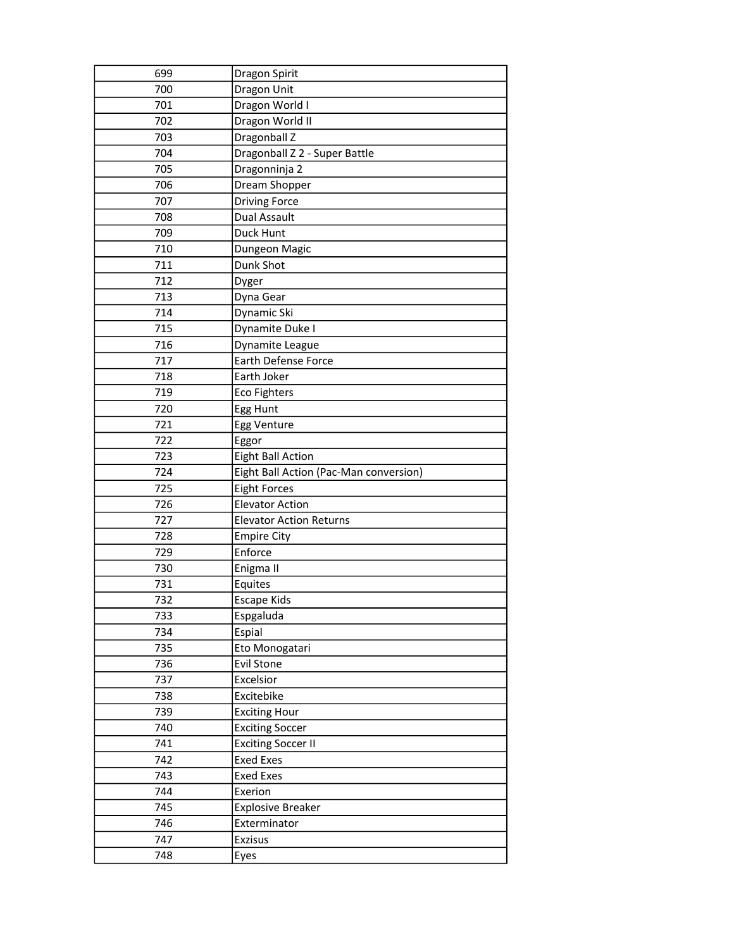| 699        | Dragon Spirit                          |
|------------|----------------------------------------|
| 700        | Dragon Unit                            |
| 701        | Dragon World I                         |
| 702        | Dragon World II                        |
| 703        | Dragonball Z                           |
| 704        | Dragonball Z 2 - Super Battle          |
| 705        | Dragonninja 2                          |
| 706        | Dream Shopper                          |
| 707        | <b>Driving Force</b>                   |
| 708        | <b>Dual Assault</b>                    |
| 709        | Duck Hunt                              |
| 710        | Dungeon Magic                          |
| 711        | Dunk Shot                              |
| 712        | Dyger                                  |
| 713        | Dyna Gear                              |
| 714        | Dynamic Ski                            |
| 715        | Dynamite Duke I                        |
| 716        | Dynamite League                        |
| 717        | <b>Earth Defense Force</b>             |
| 718        | Earth Joker                            |
| 719        | <b>Eco Fighters</b>                    |
| 720        | Egg Hunt                               |
| 721        | Egg Venture                            |
| 722        | Eggor                                  |
| 723        | <b>Eight Ball Action</b>               |
|            |                                        |
| 724        | Eight Ball Action (Pac-Man conversion) |
| 725        | <b>Eight Forces</b>                    |
| 726        | <b>Elevator Action</b>                 |
| 727        | <b>Elevator Action Returns</b>         |
| 728        | <b>Empire City</b>                     |
| 729        | Enforce                                |
| 730        | Enigma II                              |
| 731        | Equites                                |
| 732        | Escape Kids                            |
| 733        | Espgaluda                              |
| 734        | Espial                                 |
| 735        | Eto Monogatari                         |
| 736        | <b>Evil Stone</b>                      |
| 737        | Excelsior                              |
| 738        | Excitebike                             |
| 739        | <b>Exciting Hour</b>                   |
| 740        | <b>Exciting Soccer</b>                 |
| 741        | <b>Exciting Soccer II</b>              |
| 742        | <b>Exed Exes</b>                       |
| 743        | <b>Exed Exes</b>                       |
| 744        | Exerion                                |
| 745        | <b>Explosive Breaker</b>               |
| 746        | Exterminator                           |
| 747<br>748 | <b>Exzisus</b><br>Eyes                 |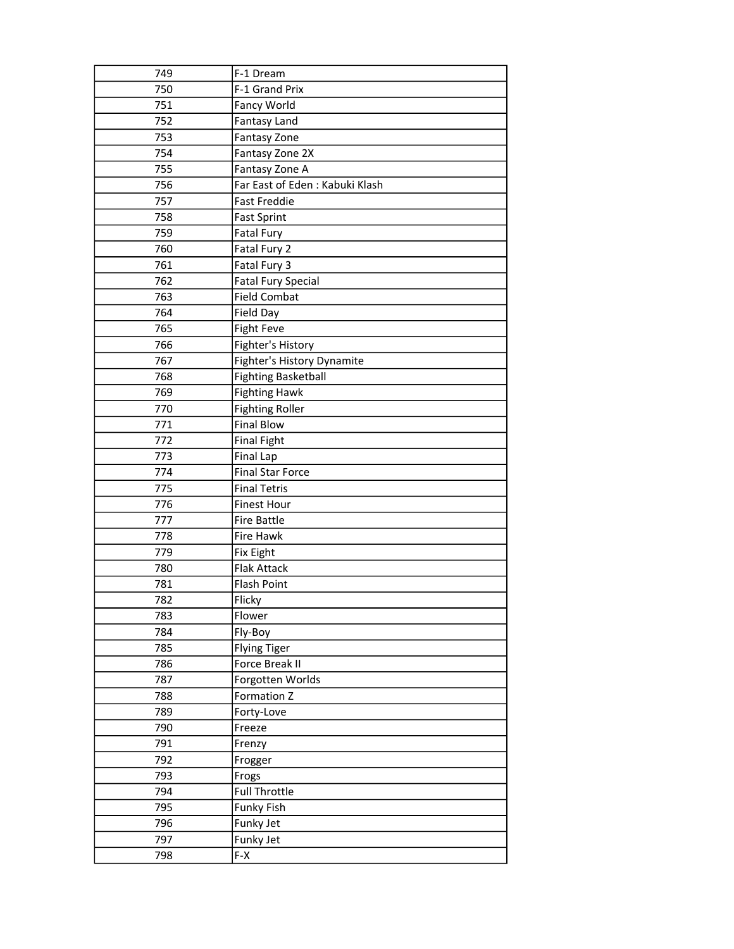| 749 | F-1 Dream                       |
|-----|---------------------------------|
| 750 | F-1 Grand Prix                  |
| 751 | Fancy World                     |
| 752 | <b>Fantasy Land</b>             |
| 753 | Fantasy Zone                    |
| 754 | Fantasy Zone 2X                 |
| 755 | Fantasy Zone A                  |
| 756 | Far East of Eden : Kabuki Klash |
| 757 | <b>Fast Freddie</b>             |
| 758 | <b>Fast Sprint</b>              |
| 759 | Fatal Fury                      |
| 760 | Fatal Fury 2                    |
| 761 | Fatal Fury 3                    |
| 762 | <b>Fatal Fury Special</b>       |
| 763 | <b>Field Combat</b>             |
| 764 | Field Day                       |
| 765 | <b>Fight Feve</b>               |
| 766 | Fighter's History               |
| 767 | Fighter's History Dynamite      |
| 768 | <b>Fighting Basketball</b>      |
| 769 | <b>Fighting Hawk</b>            |
| 770 | <b>Fighting Roller</b>          |
| 771 | <b>Final Blow</b>               |
| 772 | <b>Final Fight</b>              |
| 773 | <b>Final Lap</b>                |
| 774 | <b>Final Star Force</b>         |
| 775 | <b>Final Tetris</b>             |
| 776 | <b>Finest Hour</b>              |
| 777 | <b>Fire Battle</b>              |
| 778 | Fire Hawk                       |
| 779 | <b>Fix Eight</b>                |
| 780 | <b>Flak Attack</b>              |
| 781 | <b>Flash Point</b>              |
| 782 | Flicky                          |
| 783 | Flower                          |
| 784 | Fly-Boy                         |
| 785 | <b>Flying Tiger</b>             |
| 786 | Force Break II                  |
| 787 | Forgotten Worlds                |
| 788 | Formation Z                     |
| 789 | Forty-Love                      |
| 790 | Freeze                          |
| 791 | Frenzy                          |
| 792 | Frogger                         |
| 793 | Frogs                           |
| 794 | <b>Full Throttle</b>            |
| 795 | Funky Fish                      |
| 796 | Funky Jet                       |
| 797 | Funky Jet                       |
| 798 | F-X                             |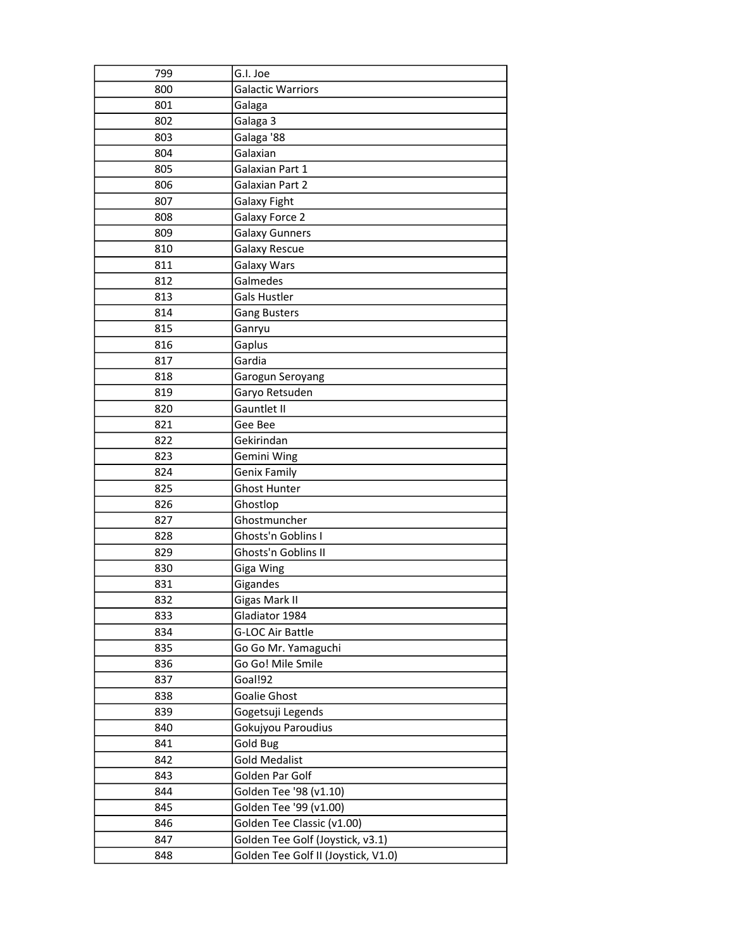| 799 | G.I. Joe                            |
|-----|-------------------------------------|
| 800 | <b>Galactic Warriors</b>            |
| 801 | Galaga                              |
| 802 | Galaga 3                            |
| 803 | Galaga '88                          |
| 804 | Galaxian                            |
| 805 | Galaxian Part 1                     |
| 806 | Galaxian Part 2                     |
| 807 | Galaxy Fight                        |
| 808 | Galaxy Force 2                      |
| 809 | <b>Galaxy Gunners</b>               |
| 810 | Galaxy Rescue                       |
| 811 | Galaxy Wars                         |
| 812 | Galmedes                            |
| 813 | Gals Hustler                        |
| 814 | <b>Gang Busters</b>                 |
| 815 | Ganryu                              |
| 816 | Gaplus                              |
| 817 | Gardia                              |
| 818 | Garogun Seroyang                    |
| 819 | Garyo Retsuden                      |
| 820 | Gauntlet II                         |
| 821 | Gee Bee                             |
| 822 | Gekirindan                          |
| 823 | Gemini Wing                         |
| 824 | Genix Family                        |
| 825 | <b>Ghost Hunter</b>                 |
| 826 | Ghostlop                            |
| 827 | Ghostmuncher                        |
| 828 | Ghosts'n Goblins I                  |
| 829 | Ghosts'n Goblins II                 |
| 830 | Giga Wing                           |
| 831 | Gigandes                            |
| 832 | Gigas Mark II                       |
| 833 | Gladiator 1984                      |
| 834 | G-LOC Air Battle                    |
| 835 | Go Go Mr. Yamaguchi                 |
| 836 | Go Go! Mile Smile                   |
| 837 | Goal!92                             |
| 838 | Goalie Ghost                        |
| 839 | Gogetsuji Legends                   |
| 840 | Gokujyou Paroudius                  |
| 841 | Gold Bug                            |
| 842 | <b>Gold Medalist</b>                |
| 843 | Golden Par Golf                     |
| 844 | Golden Tee '98 (v1.10)              |
| 845 | Golden Tee '99 (v1.00)              |
| 846 | Golden Tee Classic (v1.00)          |
| 847 | Golden Tee Golf (Joystick, v3.1)    |
| 848 | Golden Tee Golf II (Joystick, V1.0) |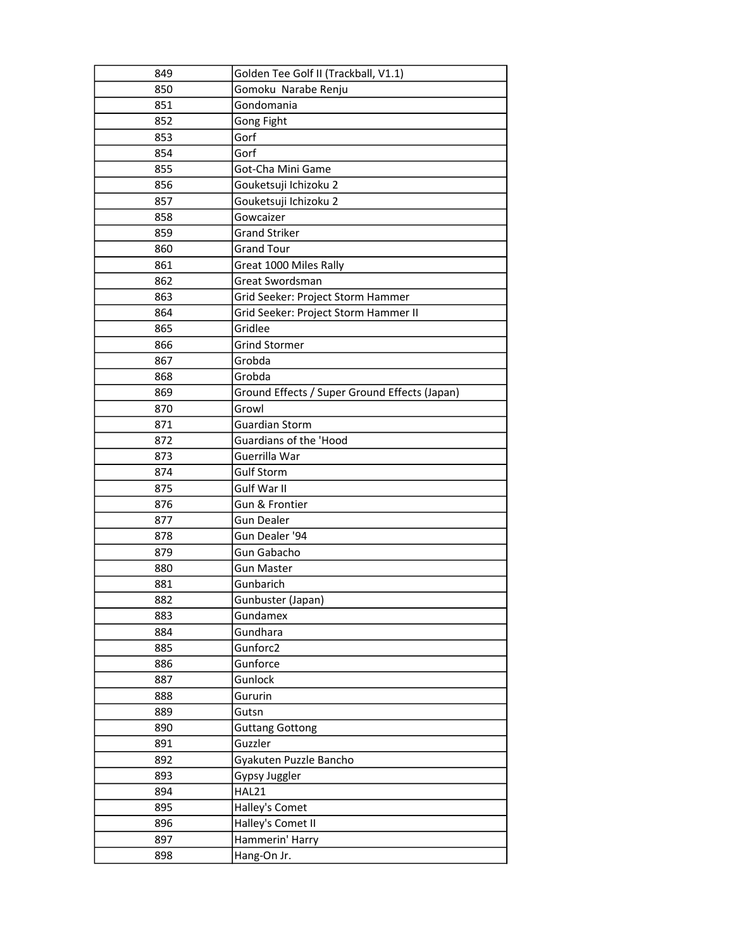| 849 | Golden Tee Golf II (Trackball, V1.1)          |
|-----|-----------------------------------------------|
| 850 | Gomoku Narabe Renju                           |
| 851 | Gondomania                                    |
| 852 | Gong Fight                                    |
| 853 | Gorf                                          |
| 854 | Gorf                                          |
| 855 | Got-Cha Mini Game                             |
| 856 | Gouketsuji Ichizoku 2                         |
| 857 | Gouketsuji Ichizoku 2                         |
| 858 | Gowcaizer                                     |
| 859 | <b>Grand Striker</b>                          |
| 860 | <b>Grand Tour</b>                             |
| 861 | Great 1000 Miles Rally                        |
| 862 | Great Swordsman                               |
| 863 | Grid Seeker: Project Storm Hammer             |
| 864 | Grid Seeker: Project Storm Hammer II          |
| 865 | Gridlee                                       |
| 866 | <b>Grind Stormer</b>                          |
| 867 | Grobda                                        |
| 868 | Grobda                                        |
| 869 | Ground Effects / Super Ground Effects (Japan) |
| 870 | Growl                                         |
| 871 | <b>Guardian Storm</b>                         |
| 872 | Guardians of the 'Hood                        |
| 873 | Guerrilla War                                 |
| 874 | <b>Gulf Storm</b>                             |
| 875 | Gulf War II                                   |
| 876 | Gun & Frontier                                |
| 877 | <b>Gun Dealer</b>                             |
| 878 | Gun Dealer '94                                |
| 879 | Gun Gabacho                                   |
| 880 | <b>Gun Master</b>                             |
| 881 | Gunbarich                                     |
| 882 | Gunbuster (Japan)                             |
| 883 | Gundamex                                      |
| 884 | Gundhara                                      |
| 885 | Gunforc2                                      |
| 886 | Gunforce                                      |
| 887 | Gunlock                                       |
| 888 | Gururin                                       |
| 889 | Gutsn                                         |
| 890 | <b>Guttang Gottong</b>                        |
| 891 | Guzzler                                       |
| 892 | Gyakuten Puzzle Bancho                        |
| 893 | Gypsy Juggler                                 |
| 894 | HAL21                                         |
| 895 | Halley's Comet                                |
| 896 | Halley's Comet II                             |
| 897 | Hammerin' Harry                               |
| 898 | Hang-On Jr.                                   |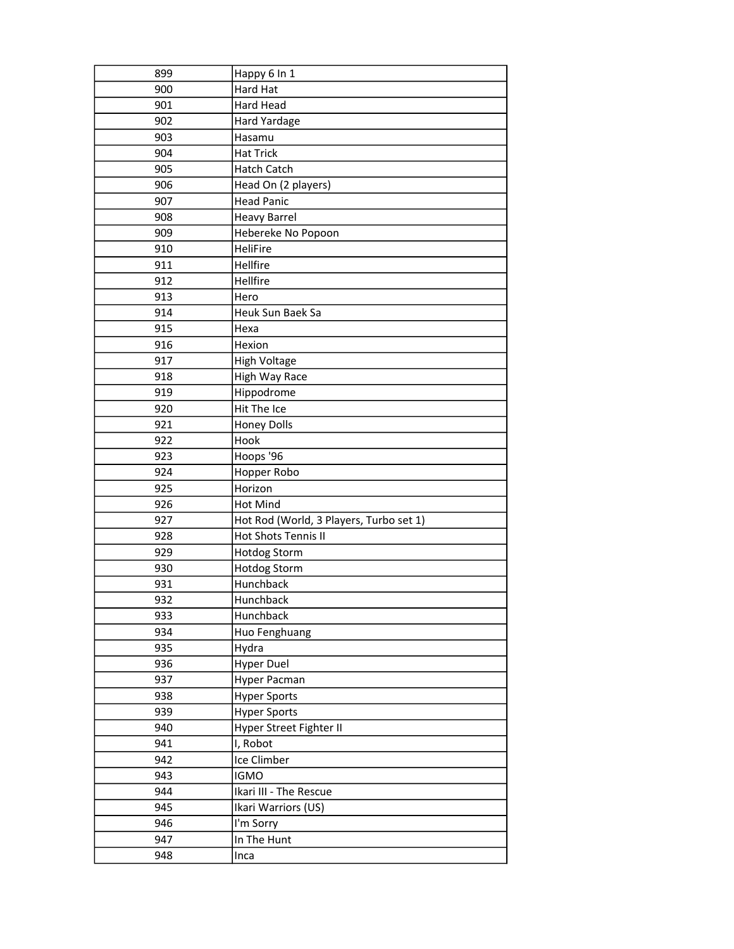| 899        | Happy 6 In 1                            |
|------------|-----------------------------------------|
| 900        | Hard Hat                                |
| 901        | Hard Head                               |
| 902        | <b>Hard Yardage</b>                     |
| 903        | Hasamu                                  |
| 904        | <b>Hat Trick</b>                        |
| 905        | Hatch Catch                             |
| 906        | Head On (2 players)                     |
| 907        | <b>Head Panic</b>                       |
| 908        | <b>Heavy Barrel</b>                     |
| 909        | Hebereke No Popoon                      |
| 910        | HeliFire                                |
| 911        | Hellfire                                |
| 912        | Hellfire                                |
| 913        | Hero                                    |
| 914        | Heuk Sun Baek Sa                        |
| 915        | Hexa                                    |
| 916        | Hexion                                  |
| 917        | <b>High Voltage</b>                     |
| 918        | High Way Race                           |
| 919        | Hippodrome                              |
| 920        | Hit The Ice                             |
| 921        | <b>Honey Dolls</b>                      |
| 922        | Hook                                    |
| 923        | Hoops '96                               |
|            |                                         |
| 924        | Hopper Robo                             |
| 925        | Horizon                                 |
| 926        | Hot Mind                                |
| 927        | Hot Rod (World, 3 Players, Turbo set 1) |
| 928        | Hot Shots Tennis II                     |
| 929        | <b>Hotdog Storm</b>                     |
| 930        | <b>Hotdog Storm</b>                     |
| 931        | Hunchback                               |
| 932        | Hunchback                               |
| 933        | Hunchback                               |
| 934        | Huo Fenghuang                           |
| 935        | Hydra                                   |
| 936        | <b>Hyper Duel</b>                       |
| 937        | Hyper Pacman                            |
| 938        | <b>Hyper Sports</b>                     |
| 939        | <b>Hyper Sports</b>                     |
| 940        | Hyper Street Fighter II                 |
| 941        | I, Robot                                |
| 942        | Ice Climber                             |
| 943        | <b>IGMO</b>                             |
| 944        | Ikari III - The Rescue                  |
| 945        | Ikari Warriors (US)                     |
| 946        | I'm Sorry                               |
| 947<br>948 | In The Hunt                             |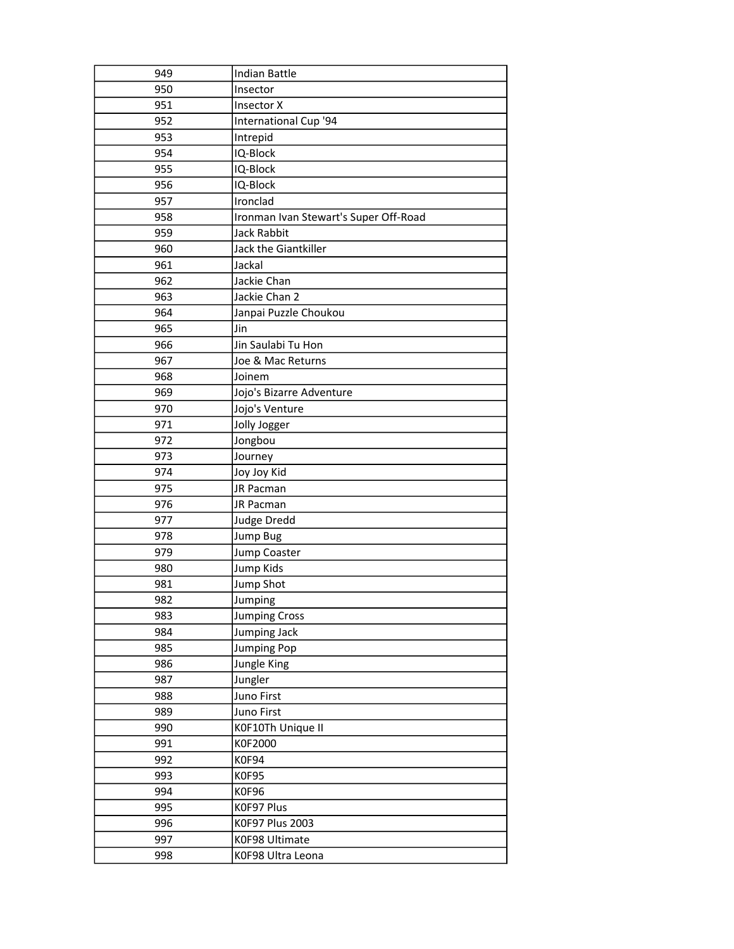| 949 | <b>Indian Battle</b>                  |
|-----|---------------------------------------|
| 950 | Insector                              |
| 951 | <b>Insector X</b>                     |
| 952 | International Cup '94                 |
| 953 | Intrepid                              |
| 954 | IQ-Block                              |
| 955 | IQ-Block                              |
| 956 | IQ-Block                              |
| 957 | Ironclad                              |
| 958 | Ironman Ivan Stewart's Super Off-Road |
| 959 | Jack Rabbit                           |
| 960 | Jack the Giantkiller                  |
| 961 | Jackal                                |
| 962 | Jackie Chan                           |
| 963 | Jackie Chan 2                         |
| 964 | Janpai Puzzle Choukou                 |
| 965 | Jin                                   |
| 966 | Jin Saulabi Tu Hon                    |
| 967 | Joe & Mac Returns                     |
| 968 | Joinem                                |
| 969 | Jojo's Bizarre Adventure              |
| 970 | Jojo's Venture                        |
| 971 | Jolly Jogger                          |
| 972 | Jongbou                               |
| 973 | Journey                               |
| 974 | Joy Joy Kid                           |
| 975 | JR Pacman                             |
| 976 | JR Pacman                             |
| 977 | <b>Judge Dredd</b>                    |
| 978 | <b>Jump Bug</b>                       |
| 979 | Jump Coaster                          |
| 980 | Jump Kids                             |
| 981 | Jump Shot                             |
| 982 | Jumping                               |
| 983 | <b>Jumping Cross</b>                  |
| 984 | Jumping Jack                          |
| 985 | <b>Jumping Pop</b>                    |
| 986 | Jungle King                           |
| 987 | Jungler                               |
| 988 | Juno First                            |
| 989 | Juno First                            |
| 990 | K0F10Th Unique II                     |
| 991 | K0F2000                               |
| 992 | K0F94                                 |
| 993 | <b>K0F95</b>                          |
| 994 | <b>K0F96</b>                          |
| 995 | K0F97 Plus                            |
| 996 | K0F97 Plus 2003                       |
| 997 | K0F98 Ultimate                        |
| 998 | K0F98 Ultra Leona                     |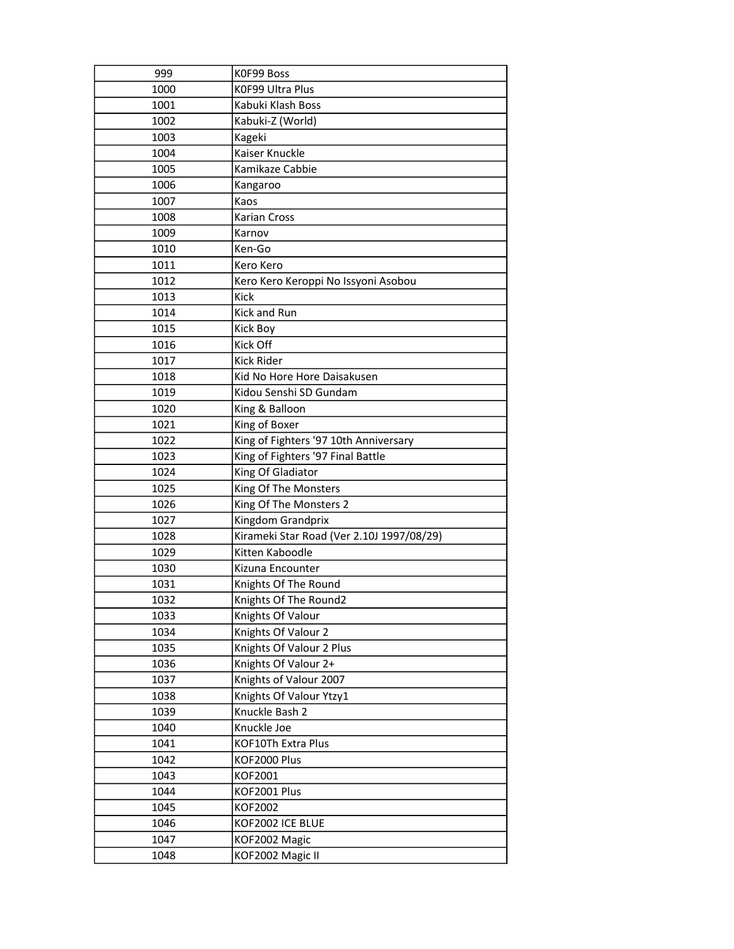| 999          | K0F99 Boss                                |
|--------------|-------------------------------------------|
| 1000         | K0F99 Ultra Plus                          |
| 1001         | Kabuki Klash Boss                         |
| 1002         | Kabuki-Z (World)                          |
| 1003         | Kageki                                    |
| 1004         | Kaiser Knuckle                            |
| 1005         | Kamikaze Cabbie                           |
| 1006         | Kangaroo                                  |
| 1007         | Kaos                                      |
| 1008         | <b>Karian Cross</b>                       |
| 1009         | Karnov                                    |
| 1010         | Ken-Go                                    |
| 1011         | Kero Kero                                 |
| 1012         | Kero Kero Keroppi No Issyoni Asobou       |
| 1013         | Kick                                      |
| 1014         | Kick and Run                              |
| 1015         | Kick Boy                                  |
| 1016         | Kick Off                                  |
| 1017         | Kick Rider                                |
| 1018         | Kid No Hore Hore Daisakusen               |
| 1019         | Kidou Senshi SD Gundam                    |
| 1020         | King & Balloon                            |
| 1021         | King of Boxer                             |
| 1022         | King of Fighters '97 10th Anniversary     |
| 1023         | King of Fighters '97 Final Battle         |
|              |                                           |
| 1024         | King Of Gladiator                         |
| 1025         | King Of The Monsters                      |
| 1026         | King Of The Monsters 2                    |
| 1027         | Kingdom Grandprix                         |
| 1028         | Kirameki Star Road (Ver 2.10J 1997/08/29) |
| 1029         | Kitten Kaboodle                           |
| 1030         | Kizuna Encounter                          |
| 1031         | Knights Of The Round                      |
| 1032         | Knights Of The Round2                     |
| 1033         | Knights Of Valour                         |
| 1034         | Knights Of Valour 2                       |
| 1035         | Knights Of Valour 2 Plus                  |
| 1036         | Knights Of Valour 2+                      |
| 1037         | Knights of Valour 2007                    |
| 1038         | Knights Of Valour Ytzy1                   |
| 1039         | Knuckle Bash 2                            |
| 1040         | Knuckle Joe                               |
| 1041         | KOF10Th Extra Plus                        |
| 1042         | KOF2000 Plus                              |
| 1043         | KOF2001                                   |
| 1044         | KOF2001 Plus                              |
| 1045         | KOF2002                                   |
| 1046         | KOF2002 ICE BLUE                          |
| 1047<br>1048 | KOF2002 Magic<br>KOF2002 Magic II         |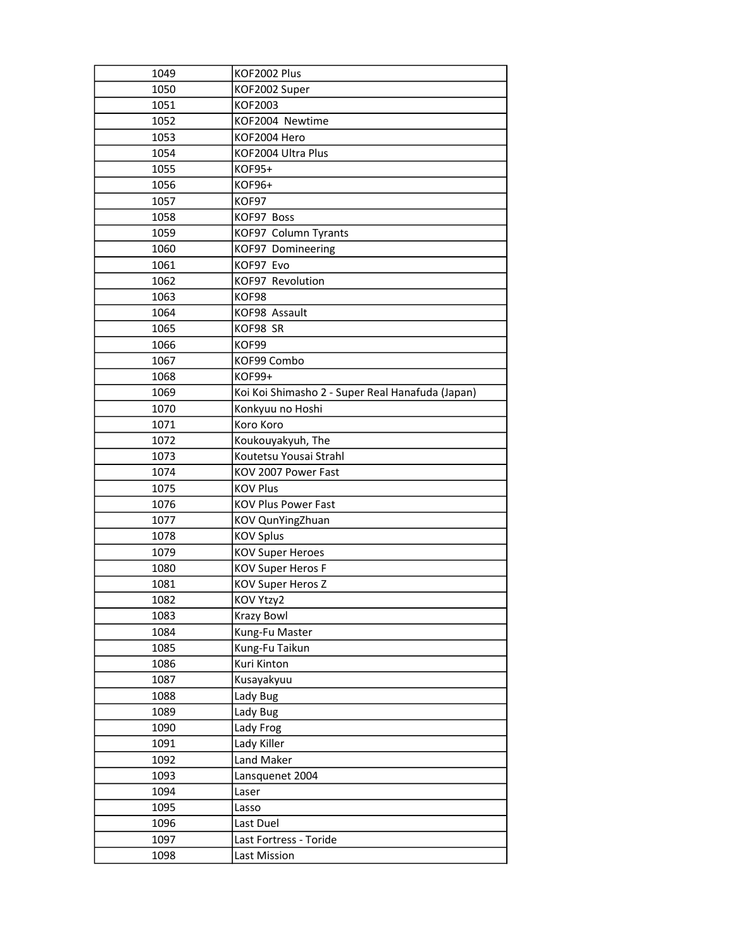| 1049 | KOF2002 Plus                                     |
|------|--------------------------------------------------|
| 1050 | KOF2002 Super                                    |
| 1051 | KOF2003                                          |
| 1052 | KOF2004 Newtime                                  |
| 1053 | KOF2004 Hero                                     |
| 1054 | KOF2004 Ultra Plus                               |
| 1055 | KOF95+                                           |
| 1056 | KOF96+                                           |
| 1057 | KOF97                                            |
| 1058 | KOF97 Boss                                       |
| 1059 | KOF97 Column Tyrants                             |
| 1060 | KOF97 Domineering                                |
| 1061 | KOF97 Evo                                        |
| 1062 | KOF97 Revolution                                 |
| 1063 | KOF98                                            |
| 1064 | KOF98 Assault                                    |
| 1065 | KOF98 SR                                         |
| 1066 | KOF99                                            |
| 1067 | KOF99 Combo                                      |
| 1068 | <b>KOF99+</b>                                    |
| 1069 | Koi Koi Shimasho 2 - Super Real Hanafuda (Japan) |
| 1070 | Konkyuu no Hoshi                                 |
| 1071 | Koro Koro                                        |
| 1072 | Koukouyakyuh, The                                |
| 1073 | Koutetsu Yousai Strahl                           |
|      |                                                  |
| 1074 | KOV 2007 Power Fast                              |
| 1075 | <b>KOV Plus</b>                                  |
| 1076 | <b>KOV Plus Power Fast</b>                       |
| 1077 | KOV QunYingZhuan                                 |
| 1078 | <b>KOV Splus</b>                                 |
| 1079 | <b>KOV Super Heroes</b>                          |
| 1080 | <b>KOV Super Heros F</b>                         |
| 1081 | KOV Super Heros Z                                |
| 1082 | KOV Ytzy2                                        |
| 1083 | <b>Krazy Bowl</b>                                |
| 1084 | Kung-Fu Master                                   |
| 1085 | Kung-Fu Taikun                                   |
| 1086 | Kuri Kinton                                      |
| 1087 | Kusayakyuu                                       |
| 1088 | Lady Bug                                         |
| 1089 | Lady Bug                                         |
| 1090 | Lady Frog                                        |
| 1091 | Lady Killer                                      |
| 1092 | Land Maker                                       |
| 1093 | Lansquenet 2004                                  |
| 1094 | Laser                                            |
| 1095 | Lasso                                            |
| 1096 | Last Duel                                        |
| 1097 | Last Fortress - Toride                           |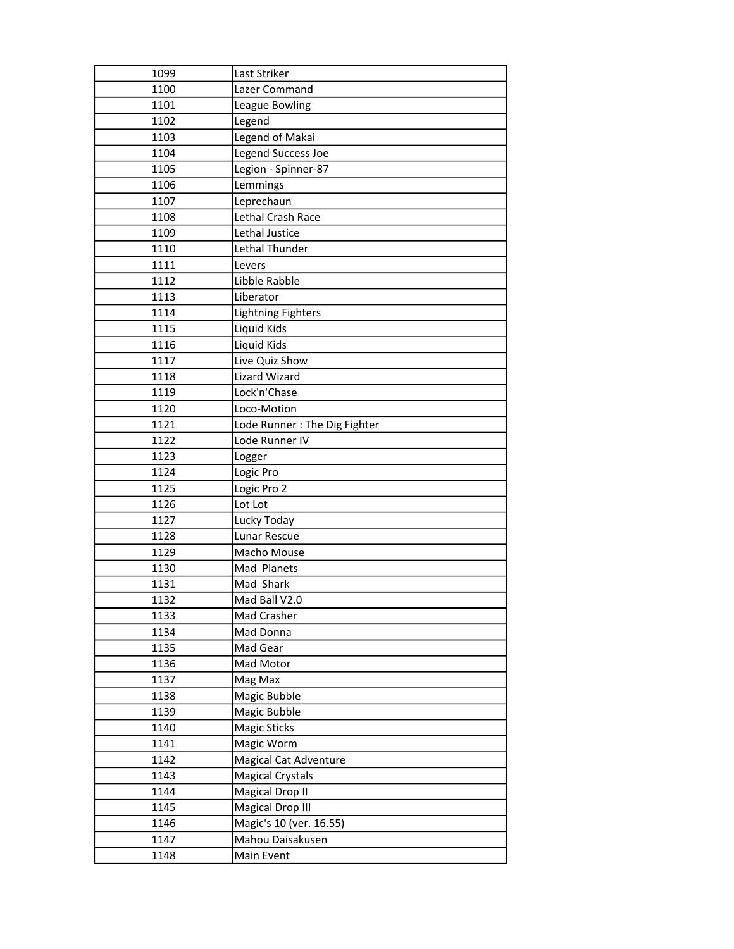| 1099 | Last Striker                   |
|------|--------------------------------|
| 1100 | Lazer Command                  |
| 1101 | League Bowling                 |
| 1102 | Legend                         |
| 1103 | Legend of Makai                |
| 1104 | Legend Success Joe             |
| 1105 | Legion - Spinner-87            |
| 1106 | Lemmings                       |
| 1107 | Leprechaun                     |
| 1108 | Lethal Crash Race              |
| 1109 | Lethal Justice                 |
| 1110 | Lethal Thunder                 |
| 1111 | Levers                         |
| 1112 | Libble Rabble                  |
| 1113 | Liberator                      |
| 1114 | <b>Lightning Fighters</b>      |
| 1115 | Liquid Kids                    |
| 1116 | Liquid Kids                    |
| 1117 | Live Quiz Show                 |
| 1118 | <b>Lizard Wizard</b>           |
| 1119 | Lock'n'Chase                   |
| 1120 | Loco-Motion                    |
| 1121 | Lode Runner: The Dig Fighter   |
| 1122 | Lode Runner IV                 |
| 1123 | Logger                         |
| 1124 | Logic Pro                      |
| 1125 | Logic Pro 2                    |
| 1126 | Lot Lot                        |
| 1127 | Lucky Today                    |
| 1128 | Lunar Rescue                   |
| 1129 | Macho Mouse                    |
| 1130 | Mad Planets                    |
| 1131 | Mad Shark                      |
| 1132 | Mad Ball V2.0                  |
| 1133 | Mad Crasher                    |
| 1134 | Mad Donna                      |
| 1135 | Mad Gear                       |
| 1136 | Mad Motor                      |
| 1137 | Mag Max                        |
| 1138 | Magic Bubble                   |
| 1139 | Magic Bubble                   |
| 1140 | <b>Magic Sticks</b>            |
| 1141 | Magic Worm                     |
| 1142 | <b>Magical Cat Adventure</b>   |
| 1143 | <b>Magical Crystals</b>        |
| 1144 | <b>Magical Drop II</b>         |
| 1145 | <b>Magical Drop III</b>        |
| 1146 | Magic's 10 (ver. 16.55)        |
| 1147 |                                |
| 1148 | Mahou Daisakusen<br>Main Event |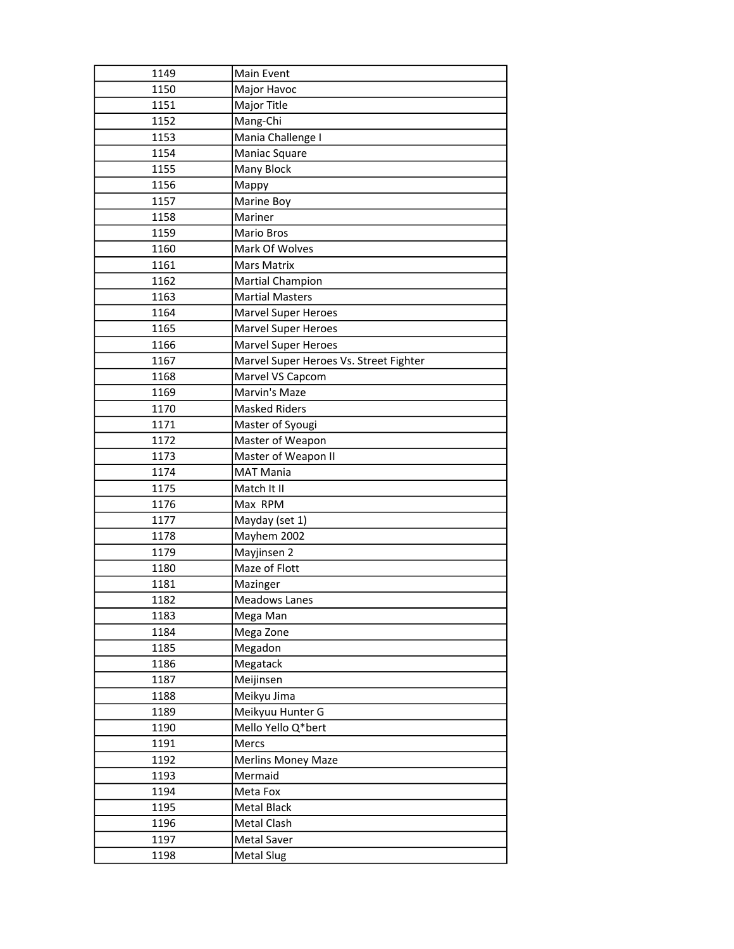| 1149         | Main Event                             |
|--------------|----------------------------------------|
| 1150         | Major Havoc                            |
| 1151         | Major Title                            |
| 1152         | Mang-Chi                               |
| 1153         | Mania Challenge I                      |
| 1154         | Maniac Square                          |
| 1155         | Many Block                             |
| 1156         | Mappy                                  |
| 1157         | Marine Boy                             |
| 1158         | Mariner                                |
| 1159         | Mario Bros                             |
| 1160         | Mark Of Wolves                         |
| 1161         | <b>Mars Matrix</b>                     |
| 1162         | <b>Martial Champion</b>                |
| 1163         | <b>Martial Masters</b>                 |
| 1164         | <b>Marvel Super Heroes</b>             |
| 1165         | Marvel Super Heroes                    |
| 1166         | <b>Marvel Super Heroes</b>             |
| 1167         | Marvel Super Heroes Vs. Street Fighter |
| 1168         | Marvel VS Capcom                       |
| 1169         | Marvin's Maze                          |
| 1170         | <b>Masked Riders</b>                   |
| 1171         | Master of Syougi                       |
| 1172         | Master of Weapon                       |
| 1173         | Master of Weapon II                    |
| 1174         | <b>MAT Mania</b>                       |
| 1175         | Match It II                            |
| 1176         | Max RPM                                |
| 1177         | Mayday (set 1)                         |
| 1178         | Mayhem 2002                            |
| 1179         | Mayjinsen 2                            |
| 1180         | Maze of Flott                          |
| 1181         | Mazinger                               |
| 1182         | Meadows Lanes                          |
| 1183         | Mega Man                               |
| 1184         | Mega Zone                              |
| 1185         | Megadon                                |
| 1186         | Megatack                               |
| 1187         | Meijinsen                              |
| 1188         | Meikyu Jima                            |
| 1189         | Meikyuu Hunter G                       |
| 1190         | Mello Yello Q*bert                     |
| 1191         | Mercs                                  |
| 1192         | <b>Merlins Money Maze</b>              |
| 1193         | Mermaid                                |
| 1194         | Meta Fox                               |
| 1195         | Metal Black                            |
| 1196         | Metal Clash                            |
|              |                                        |
| 1197<br>1198 | Metal Saver<br><b>Metal Slug</b>       |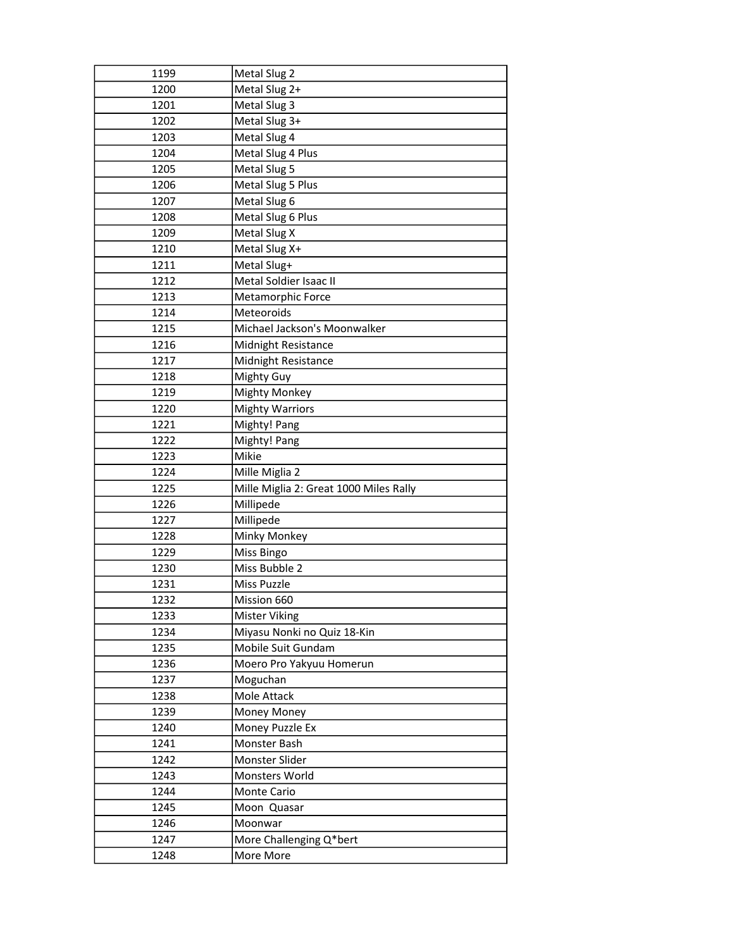| 1199         | Metal Slug 2                           |
|--------------|----------------------------------------|
| 1200         | Metal Slug 2+                          |
| 1201         | Metal Slug 3                           |
| 1202         | Metal Slug 3+                          |
| 1203         | Metal Slug 4                           |
| 1204         | Metal Slug 4 Plus                      |
| 1205         | Metal Slug 5                           |
| 1206         | Metal Slug 5 Plus                      |
| 1207         | Metal Slug 6                           |
| 1208         | Metal Slug 6 Plus                      |
| 1209         | Metal Slug X                           |
| 1210         | Metal Slug X+                          |
| 1211         | Metal Slug+                            |
| 1212         | Metal Soldier Isaac II                 |
| 1213         | Metamorphic Force                      |
| 1214         | Meteoroids                             |
| 1215         | Michael Jackson's Moonwalker           |
| 1216         | <b>Midnight Resistance</b>             |
| 1217         | Midnight Resistance                    |
| 1218         | Mighty Guy                             |
| 1219         | <b>Mighty Monkey</b>                   |
| 1220         | <b>Mighty Warriors</b>                 |
| 1221         | Mighty! Pang                           |
| 1222         | Mighty! Pang                           |
| 1223         | Mikie                                  |
| 1224         | Mille Miglia 2                         |
| 1225         | Mille Miglia 2: Great 1000 Miles Rally |
| 1226         | Millipede                              |
| 1227         | Millipede                              |
| 1228         | Minky Monkey                           |
| 1229         | Miss Bingo                             |
| 1230         | Miss Bubble 2                          |
| 1231         | Miss Puzzle                            |
| 1232         | Mission 660                            |
| 1233         | <b>Mister Viking</b>                   |
| 1234         | Miyasu Nonki no Quiz 18-Kin            |
| 1235         | Mobile Suit Gundam                     |
| 1236         | Moero Pro Yakyuu Homerun               |
| 1237         | Moguchan                               |
| 1238         | Mole Attack                            |
| 1239         | Money Money                            |
| 1240         | Money Puzzle Ex                        |
| 1241         | Monster Bash                           |
| 1242         | Monster Slider                         |
| 1243         | Monsters World                         |
| 1244         | Monte Cario                            |
| 1245         | Moon Quasar                            |
| 1246         |                                        |
|              | Moonwar                                |
| 1247<br>1248 | More Challenging Q*bert<br>More More   |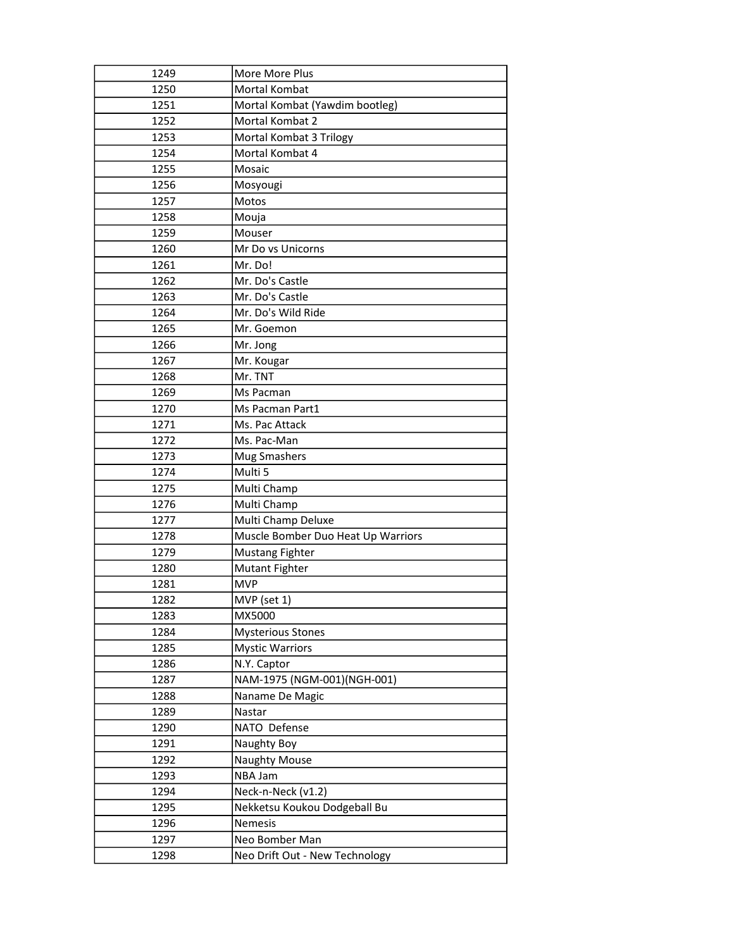| 1249 | More More Plus                     |
|------|------------------------------------|
| 1250 | Mortal Kombat                      |
| 1251 | Mortal Kombat (Yawdim bootleg)     |
| 1252 | Mortal Kombat 2                    |
| 1253 | Mortal Kombat 3 Trilogy            |
| 1254 | Mortal Kombat 4                    |
| 1255 | Mosaic                             |
| 1256 | Mosyougi                           |
| 1257 | Motos                              |
| 1258 | Mouja                              |
| 1259 | Mouser                             |
| 1260 | Mr Do vs Unicorns                  |
| 1261 | Mr. Do!                            |
| 1262 | Mr. Do's Castle                    |
| 1263 | Mr. Do's Castle                    |
| 1264 | Mr. Do's Wild Ride                 |
| 1265 | Mr. Goemon                         |
| 1266 | Mr. Jong                           |
| 1267 | Mr. Kougar                         |
| 1268 | Mr. TNT                            |
| 1269 | Ms Pacman                          |
| 1270 | Ms Pacman Part1                    |
| 1271 | Ms. Pac Attack                     |
| 1272 | Ms. Pac-Man                        |
| 1273 | Mug Smashers                       |
| 1274 | Multi 5                            |
| 1275 | Multi Champ                        |
| 1276 | Multi Champ                        |
| 1277 | Multi Champ Deluxe                 |
| 1278 | Muscle Bomber Duo Heat Up Warriors |
| 1279 | <b>Mustang Fighter</b>             |
| 1280 | Mutant Fighter                     |
| 1281 | <b>MVP</b>                         |
| 1282 | MVP (set 1)                        |
| 1283 | MX5000                             |
| 1284 | <b>Mysterious Stones</b>           |
| 1285 | <b>Mystic Warriors</b>             |
| 1286 | N.Y. Captor                        |
| 1287 | NAM-1975 (NGM-001)(NGH-001)        |
| 1288 | Naname De Magic                    |
| 1289 | Nastar                             |
| 1290 | NATO Defense                       |
| 1291 | Naughty Boy                        |
| 1292 | <b>Naughty Mouse</b>               |
| 1293 | NBA Jam                            |
| 1294 | Neck-n-Neck (v1.2)                 |
| 1295 | Nekketsu Koukou Dodgeball Bu       |
| 1296 | Nemesis                            |
| 1297 | Neo Bomber Man                     |
| 1298 | Neo Drift Out - New Technology     |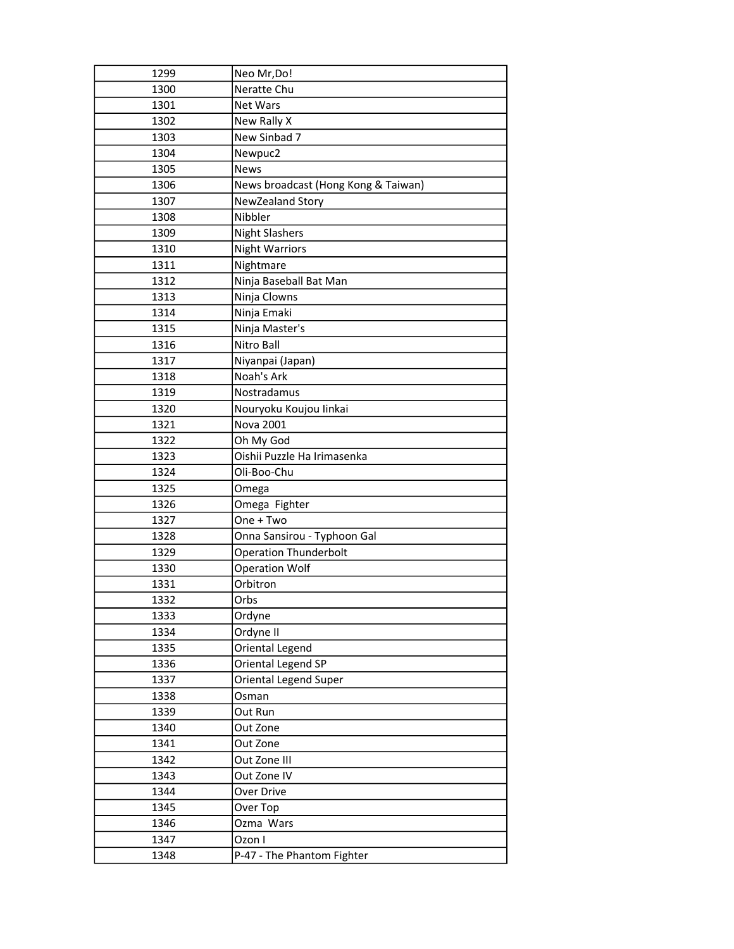| 1299 | Neo Mr, Do!                         |
|------|-------------------------------------|
| 1300 | Neratte Chu                         |
| 1301 | <b>Net Wars</b>                     |
| 1302 | New Rally X                         |
| 1303 | New Sinbad 7                        |
| 1304 | Newpuc2                             |
| 1305 | <b>News</b>                         |
| 1306 | News broadcast (Hong Kong & Taiwan) |
| 1307 | NewZealand Story                    |
| 1308 | Nibbler                             |
| 1309 | <b>Night Slashers</b>               |
| 1310 | <b>Night Warriors</b>               |
| 1311 | Nightmare                           |
| 1312 | Ninja Baseball Bat Man              |
| 1313 | Ninja Clowns                        |
| 1314 | Ninja Emaki                         |
| 1315 | Ninja Master's                      |
| 1316 | Nitro Ball                          |
| 1317 | Niyanpai (Japan)                    |
| 1318 | Noah's Ark                          |
| 1319 | Nostradamus                         |
| 1320 | Nouryoku Koujou linkai              |
| 1321 | Nova 2001                           |
| 1322 | Oh My God                           |
| 1323 | Oishii Puzzle Ha Irimasenka         |
| 1324 | Oli-Boo-Chu                         |
| 1325 | Omega                               |
| 1326 | Omega Fighter                       |
| 1327 | One + Two                           |
| 1328 | Onna Sansirou - Typhoon Gal         |
| 1329 | <b>Operation Thunderbolt</b>        |
| 1330 | <b>Operation Wolf</b>               |
| 1331 | Orbitron                            |
| 1332 | Orbs                                |
| 1333 | Ordyne                              |
| 1334 | Ordyne II                           |
| 1335 | Oriental Legend                     |
| 1336 | Oriental Legend SP                  |
| 1337 | Oriental Legend Super               |
| 1338 | Osman                               |
| 1339 | Out Run                             |
| 1340 | Out Zone                            |
| 1341 | Out Zone                            |
| 1342 | Out Zone III                        |
| 1343 | Out Zone IV                         |
| 1344 | Over Drive                          |
| 1345 | Over Top                            |
| 1346 | Ozma Wars                           |
| 1347 | Ozon I                              |
| 1348 | P-47 - The Phantom Fighter          |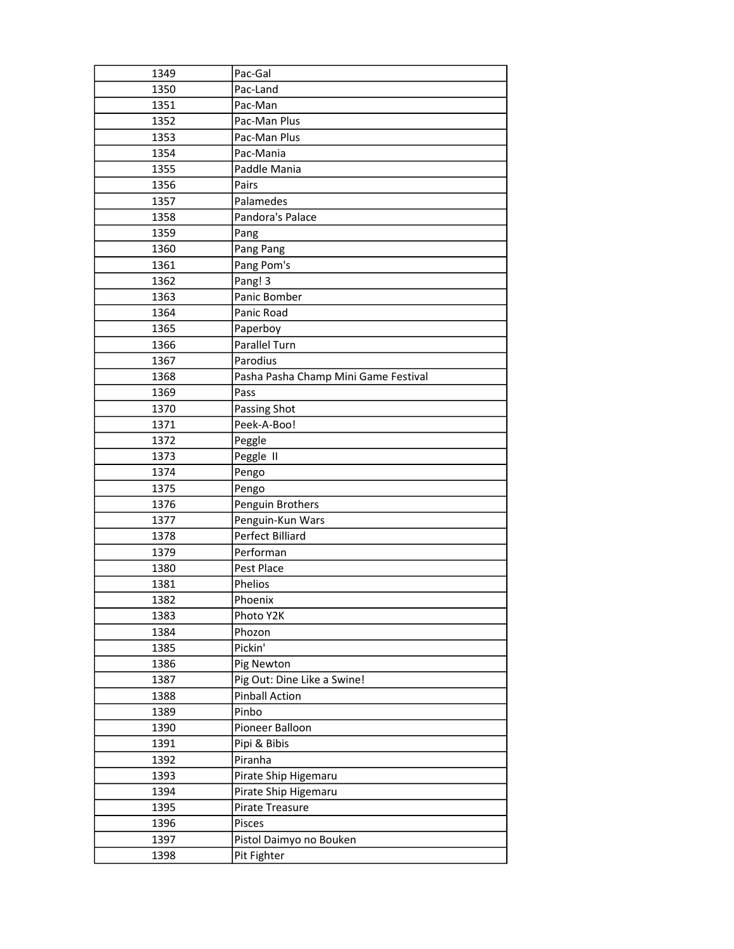| 1349 | Pac-Gal                              |
|------|--------------------------------------|
| 1350 | Pac-Land                             |
| 1351 | Pac-Man                              |
| 1352 | Pac-Man Plus                         |
| 1353 | Pac-Man Plus                         |
| 1354 | Pac-Mania                            |
| 1355 | Paddle Mania                         |
| 1356 | Pairs                                |
| 1357 | Palamedes                            |
| 1358 | Pandora's Palace                     |
| 1359 | Pang                                 |
| 1360 | Pang Pang                            |
| 1361 | Pang Pom's                           |
| 1362 | Pang! 3                              |
| 1363 | Panic Bomber                         |
| 1364 | Panic Road                           |
| 1365 | Paperboy                             |
| 1366 | <b>Parallel Turn</b>                 |
| 1367 | Parodius                             |
| 1368 | Pasha Pasha Champ Mini Game Festival |
| 1369 | Pass                                 |
| 1370 | Passing Shot                         |
| 1371 | Peek-A-Boo!                          |
| 1372 | Peggle                               |
| 1373 | Peggle II                            |
| 1374 | Pengo                                |
| 1375 | Pengo                                |
| 1376 | Penguin Brothers                     |
| 1377 | Penguin-Kun Wars                     |
| 1378 | <b>Perfect Billiard</b>              |
| 1379 | Performan                            |
| 1380 | Pest Place                           |
| 1381 | Phelios                              |
| 1382 | Phoenix                              |
| 1383 | Photo Y2K                            |
| 1384 | Phozon                               |
| 1385 | Pickin'                              |
| 1386 | Pig Newton                           |
| 1387 | Pig Out: Dine Like a Swine!          |
| 1388 | <b>Pinball Action</b>                |
| 1389 | Pinbo                                |
| 1390 | Pioneer Balloon                      |
| 1391 | Pipi & Bibis                         |
| 1392 | Piranha                              |
| 1393 | Pirate Ship Higemaru                 |
| 1394 | Pirate Ship Higemaru                 |
| 1395 | Pirate Treasure                      |
| 1396 | Pisces                               |
| 1397 | Pistol Daimyo no Bouken              |
| 1398 | Pit Fighter                          |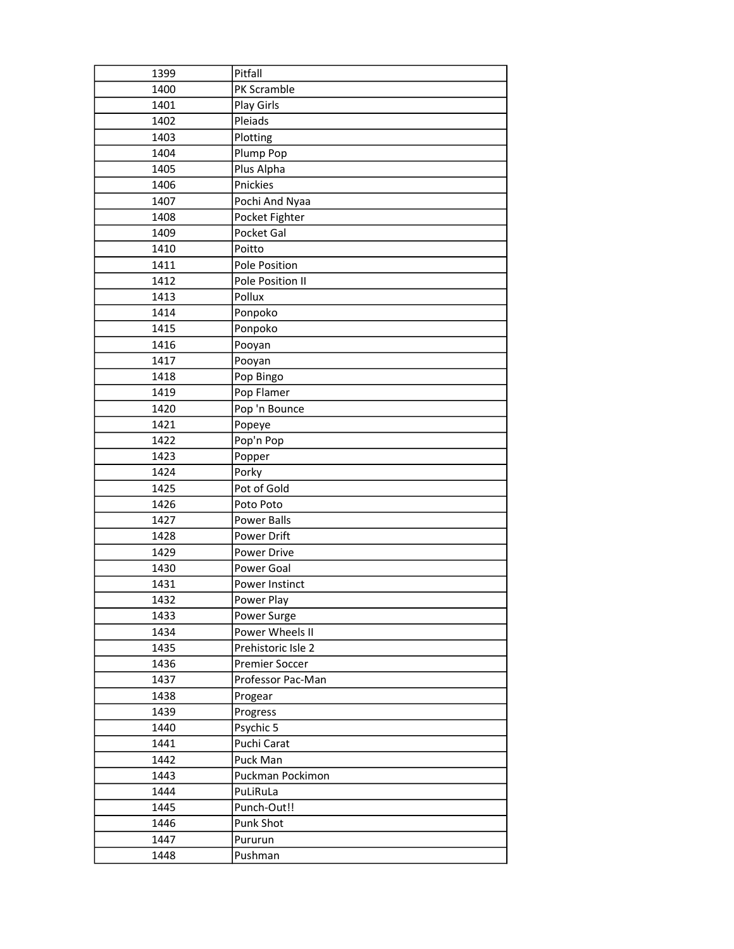| 1399 | Pitfall            |
|------|--------------------|
| 1400 | PK Scramble        |
| 1401 | Play Girls         |
| 1402 | Pleiads            |
| 1403 | Plotting           |
| 1404 | Plump Pop          |
| 1405 | Plus Alpha         |
| 1406 | Pnickies           |
| 1407 | Pochi And Nyaa     |
| 1408 | Pocket Fighter     |
| 1409 | Pocket Gal         |
| 1410 | Poitto             |
| 1411 | Pole Position      |
| 1412 | Pole Position II   |
| 1413 | Pollux             |
| 1414 | Ponpoko            |
| 1415 | Ponpoko            |
| 1416 | Pooyan             |
| 1417 | Pooyan             |
| 1418 | Pop Bingo          |
| 1419 | Pop Flamer         |
| 1420 | Pop 'n Bounce      |
| 1421 | Popeye             |
| 1422 | Pop'n Pop          |
| 1423 | Popper             |
| 1424 | Porky              |
| 1425 | Pot of Gold        |
| 1426 | Poto Poto          |
| 1427 | Power Balls        |
| 1428 | Power Drift        |
| 1429 | Power Drive        |
| 1430 | Power Goal         |
| 1431 | Power Instinct     |
| 1432 | Power Play         |
| 1433 | Power Surge        |
| 1434 | Power Wheels II    |
| 1435 | Prehistoric Isle 2 |
| 1436 | Premier Soccer     |
| 1437 | Professor Pac-Man  |
| 1438 | Progear            |
| 1439 | Progress           |
| 1440 | Psychic 5          |
| 1441 | Puchi Carat        |
| 1442 | Puck Man           |
| 1443 | Puckman Pockimon   |
| 1444 | PuLiRuLa           |
| 1445 | Punch-Out!!        |
| 1446 | Punk Shot          |
| 1447 | Pururun            |
| 1448 | Pushman            |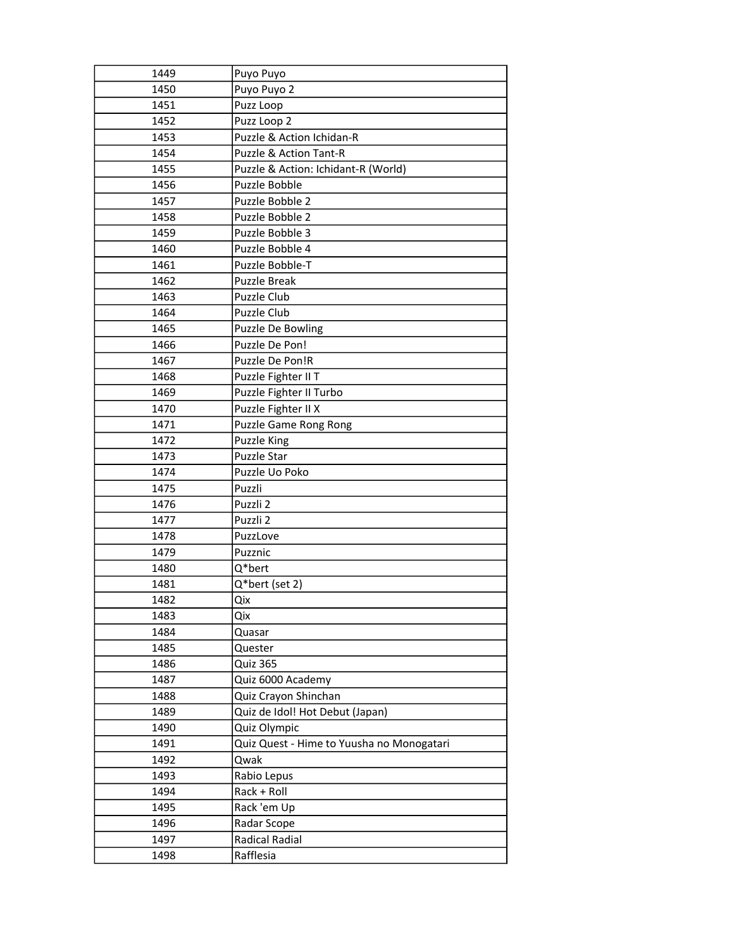| 1449 | Puyo Puyo                                 |
|------|-------------------------------------------|
| 1450 | Puyo Puyo 2                               |
| 1451 | Puzz Loop                                 |
| 1452 | Puzz Loop 2                               |
| 1453 | Puzzle & Action Ichidan-R                 |
| 1454 | Puzzle & Action Tant-R                    |
| 1455 | Puzzle & Action: Ichidant-R (World)       |
| 1456 | Puzzle Bobble                             |
| 1457 | Puzzle Bobble 2                           |
| 1458 | Puzzle Bobble 2                           |
| 1459 | Puzzle Bobble 3                           |
| 1460 | Puzzle Bobble 4                           |
| 1461 | Puzzle Bobble-T                           |
| 1462 | <b>Puzzle Break</b>                       |
| 1463 | Puzzle Club                               |
| 1464 | Puzzle Club                               |
| 1465 | Puzzle De Bowling                         |
| 1466 | Puzzle De Pon!                            |
| 1467 | Puzzle De Pon!R                           |
| 1468 | Puzzle Fighter II T                       |
| 1469 | Puzzle Fighter II Turbo                   |
| 1470 | Puzzle Fighter II X                       |
| 1471 | Puzzle Game Rong Rong                     |
| 1472 | <b>Puzzle King</b>                        |
| 1473 | <b>Puzzle Star</b>                        |
| 1474 | Puzzle Uo Poko                            |
| 1475 | Puzzli                                    |
| 1476 | Puzzli 2                                  |
| 1477 | Puzzli 2                                  |
| 1478 | PuzzLove                                  |
| 1479 | Puzznic                                   |
| 1480 | Q*bert                                    |
| 1481 | Q*bert (set 2)                            |
| 1482 | Qix                                       |
| 1483 | Qix                                       |
| 1484 | Quasar                                    |
| 1485 | Quester                                   |
| 1486 | Quiz 365                                  |
| 1487 | Quiz 6000 Academy                         |
| 1488 | Quiz Crayon Shinchan                      |
| 1489 | Quiz de Idol! Hot Debut (Japan)           |
| 1490 | Quiz Olympic                              |
| 1491 | Quiz Quest - Hime to Yuusha no Monogatari |
| 1492 | Qwak                                      |
| 1493 | Rabio Lepus                               |
| 1494 | Rack + Roll                               |
| 1495 | Rack 'em Up                               |
| 1496 | Radar Scope                               |
| 1497 | <b>Radical Radial</b>                     |
| 1498 | Rafflesia                                 |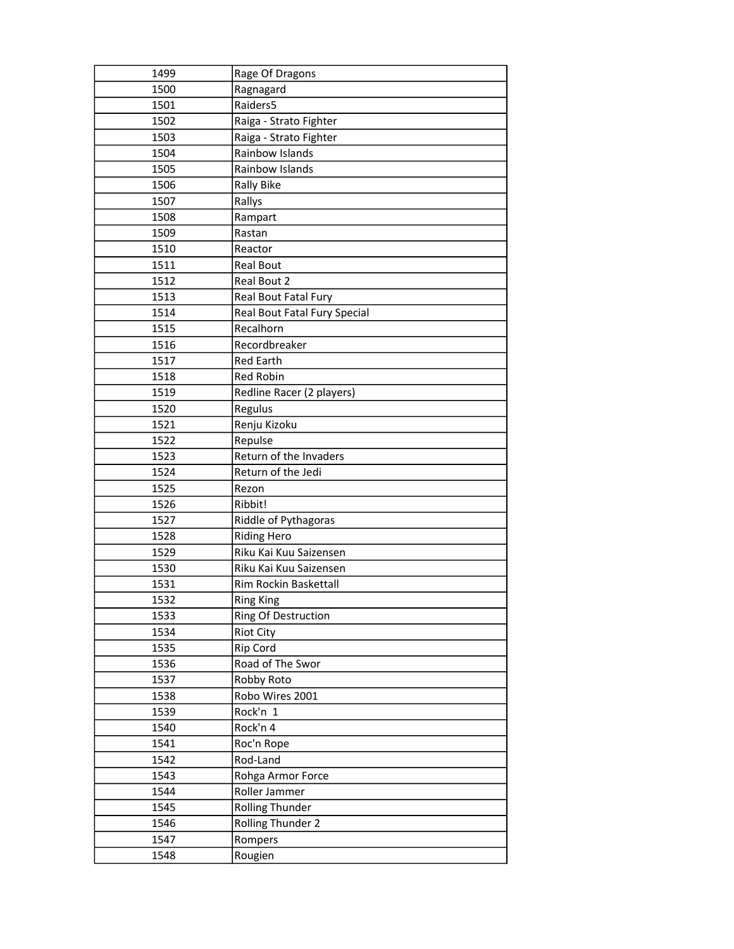| 1499 | Rage Of Dragons              |
|------|------------------------------|
| 1500 | Ragnagard                    |
| 1501 | Raiders5                     |
| 1502 | Raiga - Strato Fighter       |
| 1503 | Raiga - Strato Fighter       |
| 1504 | Rainbow Islands              |
| 1505 | Rainbow Islands              |
| 1506 | <b>Rally Bike</b>            |
| 1507 | Rallys                       |
| 1508 | Rampart                      |
| 1509 | Rastan                       |
| 1510 | Reactor                      |
| 1511 | <b>Real Bout</b>             |
| 1512 | Real Bout 2                  |
| 1513 | Real Bout Fatal Fury         |
| 1514 | Real Bout Fatal Fury Special |
| 1515 | Recalhorn                    |
| 1516 | Recordbreaker                |
| 1517 | <b>Red Earth</b>             |
| 1518 | Red Robin                    |
| 1519 | Redline Racer (2 players)    |
| 1520 | Regulus                      |
| 1521 | Renju Kizoku                 |
| 1522 | Repulse                      |
| 1523 | Return of the Invaders       |
| 1524 | Return of the Jedi           |
| 1525 | Rezon                        |
| 1526 | Ribbit!                      |
| 1527 | Riddle of Pythagoras         |
| 1528 | <b>Riding Hero</b>           |
| 1529 | Riku Kai Kuu Saizensen       |
| 1530 | Riku Kai Kuu Saizensen       |
| 1531 | Rim Rockin Baskettall        |
| 1532 | <b>Ring King</b>             |
| 1533 | Ring Of Destruction          |
| 1534 | <b>Riot City</b>             |
| 1535 | Rip Cord                     |
| 1536 | Road of The Swor             |
| 1537 | Robby Roto                   |
| 1538 | Robo Wires 2001              |
| 1539 | Rock'n 1                     |
| 1540 | Rock'n 4                     |
| 1541 | Roc'n Rope                   |
| 1542 | Rod-Land                     |
| 1543 | Rohga Armor Force            |
| 1544 | Roller Jammer                |
| 1545 |                              |
|      | <b>Rolling Thunder</b>       |
| 1546 | Rolling Thunder 2            |
| 1547 | Rompers                      |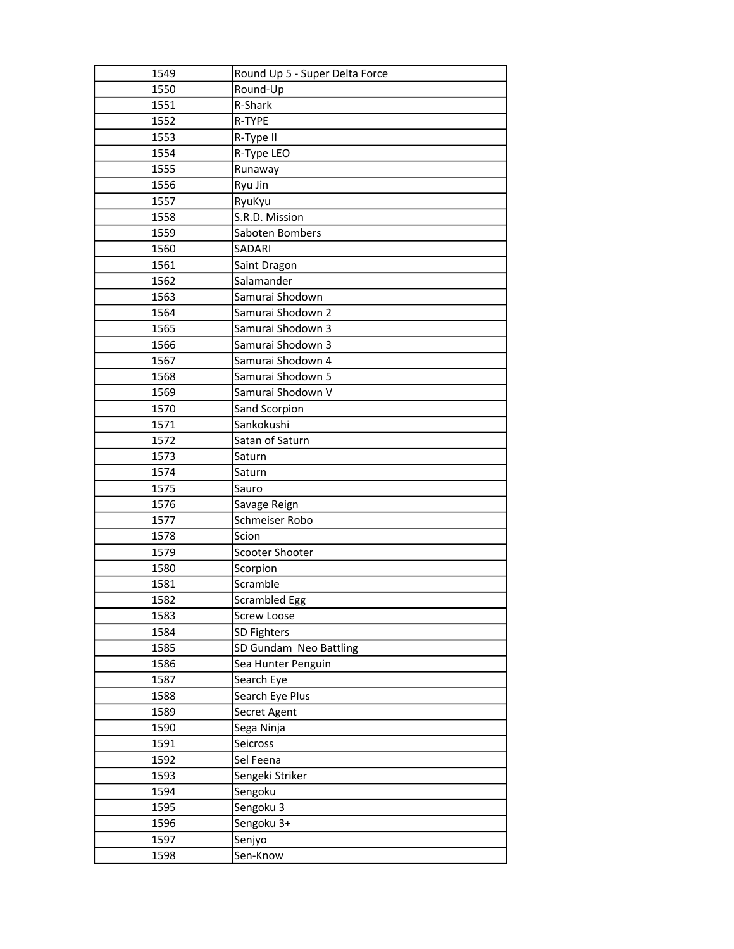| 1549 | Round Up 5 - Super Delta Force |
|------|--------------------------------|
| 1550 | Round-Up                       |
| 1551 | R-Shark                        |
| 1552 | R-TYPE                         |
| 1553 | R-Type II                      |
| 1554 | R-Type LEO                     |
| 1555 | Runaway                        |
| 1556 | Ryu Jin                        |
| 1557 | RyuKyu                         |
| 1558 | S.R.D. Mission                 |
| 1559 | Saboten Bombers                |
| 1560 | SADARI                         |
| 1561 | Saint Dragon                   |
| 1562 | Salamander                     |
| 1563 | Samurai Shodown                |
| 1564 | Samurai Shodown 2              |
| 1565 | Samurai Shodown 3              |
| 1566 | Samurai Shodown 3              |
| 1567 | Samurai Shodown 4              |
| 1568 | Samurai Shodown 5              |
| 1569 | Samurai Shodown V              |
| 1570 | Sand Scorpion                  |
| 1571 | Sankokushi                     |
| 1572 | Satan of Saturn                |
| 1573 | Saturn                         |
| 1574 | Saturn                         |
| 1575 | Sauro                          |
| 1576 | Savage Reign                   |
| 1577 | Schmeiser Robo                 |
| 1578 | Scion                          |
| 1579 | Scooter Shooter                |
| 1580 | Scorpion                       |
| 1581 | Scramble                       |
| 1582 | Scrambled Egg                  |
| 1583 | Screw Loose                    |
| 1584 | SD Fighters                    |
|      |                                |
| 1585 | SD Gundam Neo Battling         |
| 1586 | Sea Hunter Penguin             |
| 1587 | Search Eye                     |
| 1588 | Search Eye Plus                |
| 1589 | Secret Agent                   |
| 1590 | Sega Ninja                     |
| 1591 | Seicross                       |
| 1592 | Sel Feena                      |
| 1593 | Sengeki Striker                |
| 1594 | Sengoku                        |
| 1595 | Sengoku 3                      |
| 1596 | Sengoku 3+                     |
| 1597 | Senjyo                         |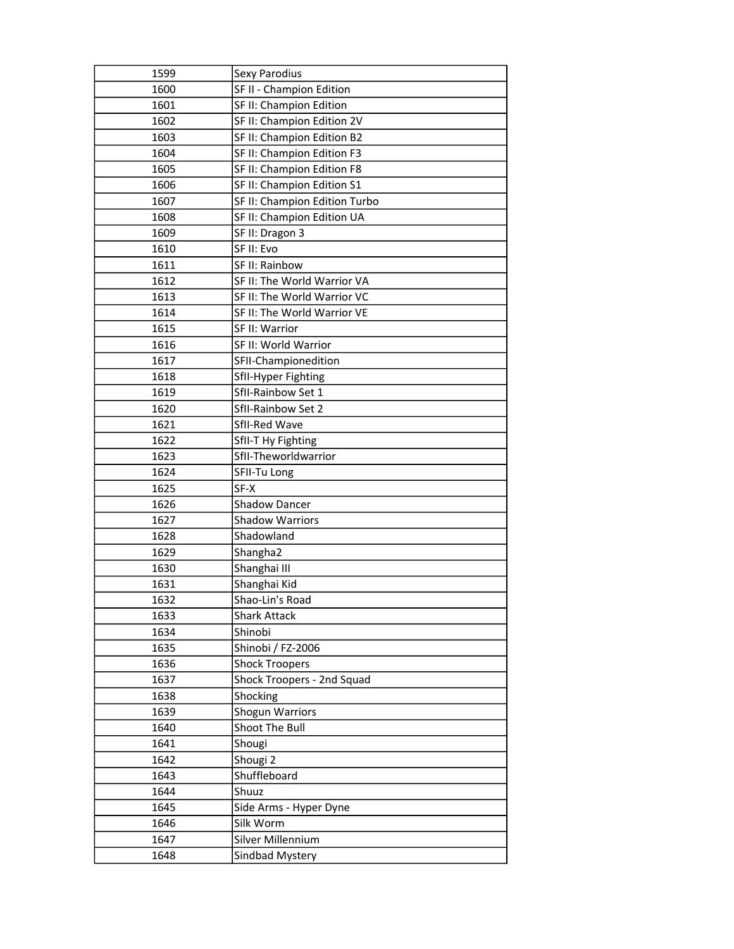| 1599         | <b>Sexy Parodius</b>                 |
|--------------|--------------------------------------|
| 1600         | SF II - Champion Edition             |
| 1601         | SF II: Champion Edition              |
| 1602         | SF II: Champion Edition 2V           |
| 1603         | SF II: Champion Edition B2           |
| 1604         | SF II: Champion Edition F3           |
| 1605         | SF II: Champion Edition F8           |
| 1606         | SF II: Champion Edition S1           |
| 1607         | SF II: Champion Edition Turbo        |
| 1608         | SF II: Champion Edition UA           |
| 1609         | SF II: Dragon 3                      |
| 1610         | SF II: Evo                           |
| 1611         | SF II: Rainbow                       |
| 1612         | SF II: The World Warrior VA          |
| 1613         | SF II: The World Warrior VC          |
| 1614         | SF II: The World Warrior VE          |
| 1615         | SF II: Warrior                       |
| 1616         | SF II: World Warrior                 |
| 1617         | SFII-Championedition                 |
| 1618         | SfII-Hyper Fighting                  |
| 1619         | SfII-Rainbow Set 1                   |
| 1620         | SfII-Rainbow Set 2                   |
| 1621         | SfII-Red Wave                        |
| 1622         | SfII-T Hy Fighting                   |
| 1623         | SfII-Theworldwarrior                 |
|              |                                      |
| 1624         | SFII-Tu Long                         |
| 1625         | SF-X                                 |
| 1626         | <b>Shadow Dancer</b>                 |
| 1627         | <b>Shadow Warriors</b>               |
| 1628         | Shadowland                           |
| 1629         | Shangha <sub>2</sub>                 |
| 1630         | Shanghai III                         |
| 1631         | Shanghai Kid                         |
| 1632         | Shao-Lin's Road                      |
| 1633         | <b>Shark Attack</b>                  |
| 1634         | Shinobi                              |
| 1635         | Shinobi / FZ-2006                    |
| 1636         | <b>Shock Troopers</b>                |
| 1637         | Shock Troopers - 2nd Squad           |
| 1638         | Shocking                             |
| 1639         | <b>Shogun Warriors</b>               |
| 1640         | Shoot The Bull                       |
| 1641         | Shougi                               |
| 1642         | Shougi <sub>2</sub>                  |
| 1643         | Shuffleboard                         |
| 1644         | Shuuz                                |
| 1645         | Side Arms - Hyper Dyne               |
| 1646         | Silk Worm                            |
| 1647<br>1648 | Silver Millennium<br>Sindbad Mystery |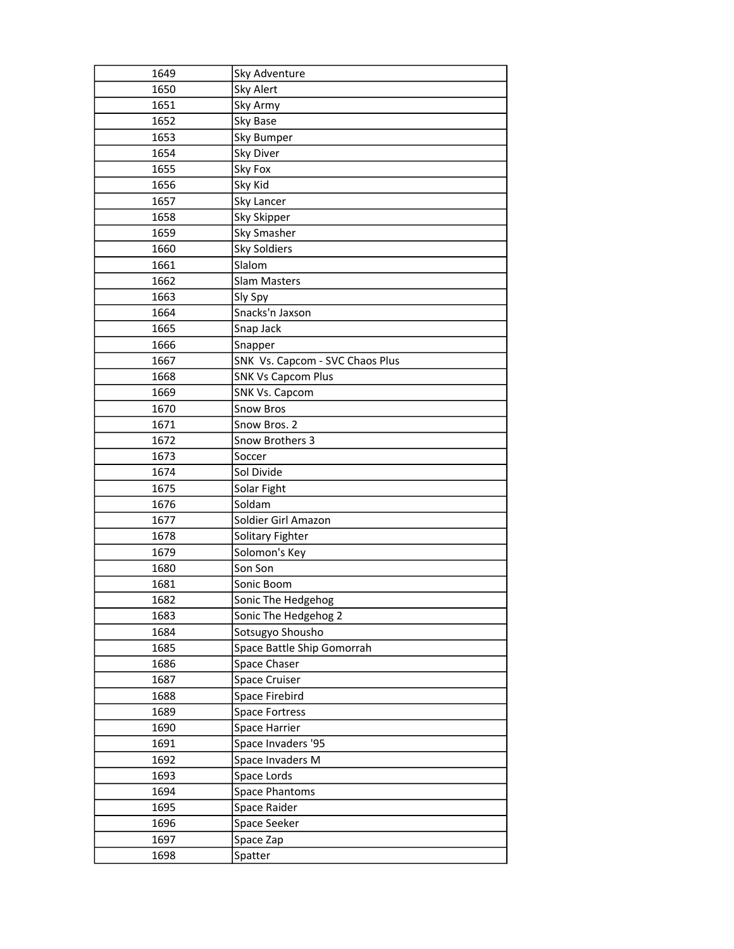| 1649 | Sky Adventure                   |
|------|---------------------------------|
| 1650 | <b>Sky Alert</b>                |
| 1651 | Sky Army                        |
| 1652 | Sky Base                        |
| 1653 | Sky Bumper                      |
| 1654 | Sky Diver                       |
| 1655 | Sky Fox                         |
| 1656 | Sky Kid                         |
| 1657 | Sky Lancer                      |
| 1658 | Sky Skipper                     |
| 1659 | Sky Smasher                     |
| 1660 | Sky Soldiers                    |
| 1661 | Slalom                          |
| 1662 | <b>Slam Masters</b>             |
| 1663 | Sly Spy                         |
| 1664 | Snacks'n Jaxson                 |
| 1665 | Snap Jack                       |
| 1666 | Snapper                         |
| 1667 | SNK Vs. Capcom - SVC Chaos Plus |
| 1668 | <b>SNK Vs Capcom Plus</b>       |
| 1669 | <b>SNK Vs. Capcom</b>           |
| 1670 | <b>Snow Bros</b>                |
| 1671 | Snow Bros. 2                    |
| 1672 | Snow Brothers 3                 |
| 1673 | Soccer                          |
| 1674 | Sol Divide                      |
| 1675 | Solar Fight                     |
| 1676 | Soldam                          |
| 1677 | Soldier Girl Amazon             |
| 1678 | Solitary Fighter                |
| 1679 | Solomon's Key                   |
| 1680 | Son Son                         |
| 1681 | Sonic Boom                      |
| 1682 | Sonic The Hedgehog              |
| 1683 | Sonic The Hedgehog 2            |
| 1684 | Sotsugyo Shousho                |
| 1685 | Space Battle Ship Gomorrah      |
| 1686 | Space Chaser                    |
| 1687 | Space Cruiser                   |
| 1688 | Space Firebird                  |
| 1689 | <b>Space Fortress</b>           |
| 1690 | Space Harrier                   |
| 1691 | Space Invaders '95              |
| 1692 | Space Invaders M                |
| 1693 | Space Lords                     |
| 1694 | <b>Space Phantoms</b>           |
| 1695 | Space Raider                    |
| 1696 | Space Seeker                    |
| 1697 | Space Zap                       |
| 1698 | Spatter                         |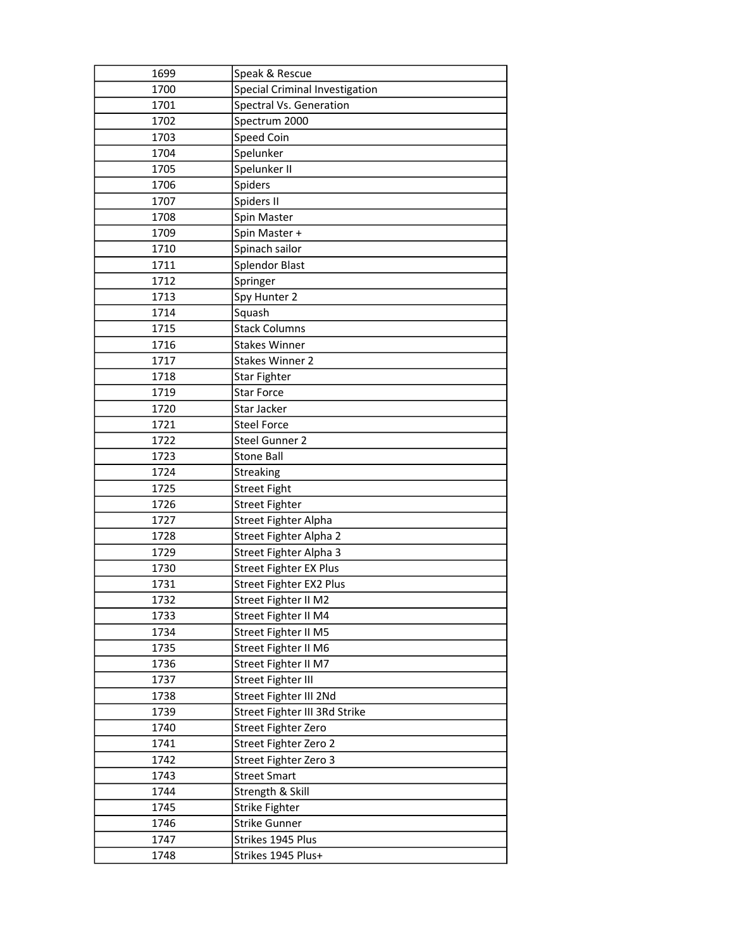| 1699 | Speak & Rescue                        |
|------|---------------------------------------|
| 1700 | <b>Special Criminal Investigation</b> |
| 1701 | Spectral Vs. Generation               |
| 1702 | Spectrum 2000                         |
| 1703 | Speed Coin                            |
| 1704 | Spelunker                             |
| 1705 | Spelunker II                          |
| 1706 | Spiders                               |
| 1707 | Spiders II                            |
| 1708 | Spin Master                           |
| 1709 | Spin Master +                         |
| 1710 | Spinach sailor                        |
| 1711 | <b>Splendor Blast</b>                 |
| 1712 | Springer                              |
| 1713 | Spy Hunter 2                          |
| 1714 | Squash                                |
| 1715 | <b>Stack Columns</b>                  |
| 1716 | <b>Stakes Winner</b>                  |
| 1717 | <b>Stakes Winner 2</b>                |
| 1718 | Star Fighter                          |
| 1719 | <b>Star Force</b>                     |
| 1720 | Star Jacker                           |
| 1721 | <b>Steel Force</b>                    |
| 1722 | Steel Gunner 2                        |
| 1723 | <b>Stone Ball</b>                     |
| 1724 | Streaking                             |
| 1725 | <b>Street Fight</b>                   |
| 1726 | <b>Street Fighter</b>                 |
| 1727 | Street Fighter Alpha                  |
| 1728 | Street Fighter Alpha 2                |
| 1729 | Street Fighter Alpha 3                |
| 1730 | Street Fighter EX Plus                |
| 1731 | Street Fighter EX2 Plus               |
| 1732 | Street Fighter II M2                  |
| 1733 | Street Fighter II M4                  |
| 1734 | Street Fighter II M5                  |
| 1735 | Street Fighter II M6                  |
| 1736 | Street Fighter II M7                  |
| 1737 | <b>Street Fighter III</b>             |
| 1738 | Street Fighter III 2Nd                |
| 1739 | Street Fighter III 3Rd Strike         |
| 1740 | Street Fighter Zero                   |
| 1741 | Street Fighter Zero 2                 |
| 1742 | Street Fighter Zero 3                 |
| 1743 | <b>Street Smart</b>                   |
| 1744 | Strength & Skill                      |
| 1745 | <b>Strike Fighter</b>                 |
| 1746 | <b>Strike Gunner</b>                  |
| 1747 | Strikes 1945 Plus                     |
| 1748 | Strikes 1945 Plus+                    |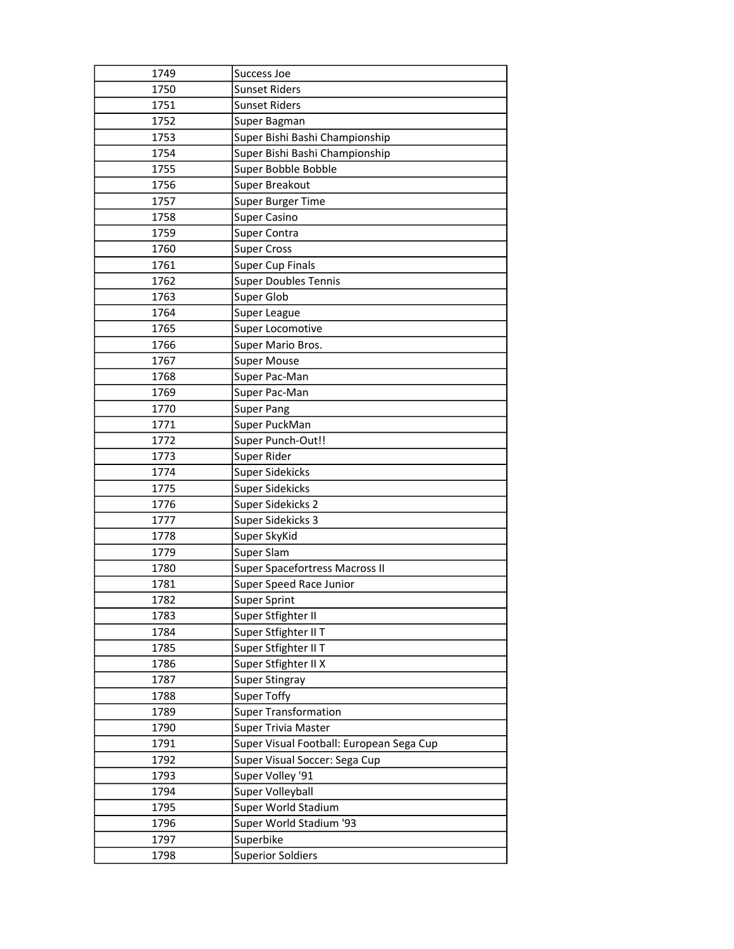| 1749 | Success Joe                              |
|------|------------------------------------------|
| 1750 | <b>Sunset Riders</b>                     |
| 1751 | <b>Sunset Riders</b>                     |
| 1752 | Super Bagman                             |
| 1753 | Super Bishi Bashi Championship           |
| 1754 | Super Bishi Bashi Championship           |
| 1755 | Super Bobble Bobble                      |
| 1756 | Super Breakout                           |
| 1757 | Super Burger Time                        |
| 1758 | <b>Super Casino</b>                      |
| 1759 | Super Contra                             |
| 1760 | <b>Super Cross</b>                       |
| 1761 | <b>Super Cup Finals</b>                  |
| 1762 | <b>Super Doubles Tennis</b>              |
| 1763 | Super Glob                               |
| 1764 | Super League                             |
| 1765 | Super Locomotive                         |
| 1766 | Super Mario Bros.                        |
| 1767 | <b>Super Mouse</b>                       |
| 1768 | Super Pac-Man                            |
| 1769 | Super Pac-Man                            |
| 1770 | <b>Super Pang</b>                        |
| 1771 | Super PuckMan                            |
| 1772 | Super Punch-Out!!                        |
| 1773 | Super Rider                              |
| 1774 | <b>Super Sidekicks</b>                   |
| 1775 | <b>Super Sidekicks</b>                   |
| 1776 | Super Sidekicks 2                        |
| 1777 | Super Sidekicks 3                        |
| 1778 | Super SkyKid                             |
| 1779 | Super Slam                               |
| 1780 | Super Spacefortress Macross II           |
| 1781 | Super Speed Race Junior                  |
| 1782 | <b>Super Sprint</b>                      |
| 1783 | Super Stfighter II                       |
| 1784 | Super Stfighter II T                     |
| 1785 | Super Stfighter II T                     |
| 1786 | Super Stfighter II X                     |
| 1787 | <b>Super Stingray</b>                    |
| 1788 | <b>Super Toffy</b>                       |
| 1789 | <b>Super Transformation</b>              |
| 1790 | Super Trivia Master                      |
| 1791 | Super Visual Football: European Sega Cup |
| 1792 | Super Visual Soccer: Sega Cup            |
| 1793 | Super Volley '91                         |
| 1794 | Super Volleyball                         |
| 1795 | Super World Stadium                      |
| 1796 | Super World Stadium '93                  |
| 1797 | Superbike                                |
| 1798 | <b>Superior Soldiers</b>                 |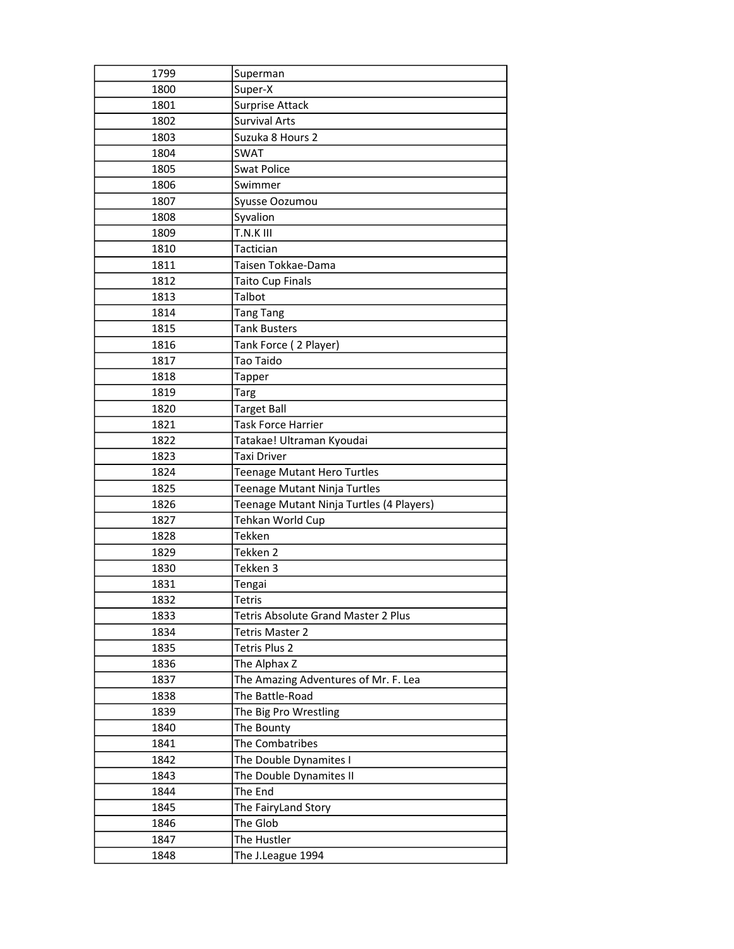| 1799 | Superman                                 |
|------|------------------------------------------|
| 1800 | Super-X                                  |
| 1801 | <b>Surprise Attack</b>                   |
| 1802 | <b>Survival Arts</b>                     |
| 1803 | Suzuka 8 Hours 2                         |
| 1804 | SWAT                                     |
| 1805 | <b>Swat Police</b>                       |
| 1806 | Swimmer                                  |
| 1807 | Syusse Oozumou                           |
| 1808 | Syvalion                                 |
| 1809 | T.N.K III                                |
| 1810 | Tactician                                |
| 1811 | Taisen Tokkae-Dama                       |
| 1812 | Taito Cup Finals                         |
| 1813 | Talbot                                   |
| 1814 | <b>Tang Tang</b>                         |
| 1815 | <b>Tank Busters</b>                      |
| 1816 | Tank Force (2 Player)                    |
| 1817 | <b>Tao Taido</b>                         |
| 1818 | Tapper                                   |
| 1819 | <b>Targ</b>                              |
| 1820 | <b>Target Ball</b>                       |
| 1821 | Task Force Harrier                       |
| 1822 | Tatakae! Ultraman Kyoudai                |
| 1823 | Taxi Driver                              |
| 1824 | Teenage Mutant Hero Turtles              |
| 1825 | Teenage Mutant Ninja Turtles             |
| 1826 | Teenage Mutant Ninja Turtles (4 Players) |
| 1827 | Tehkan World Cup                         |
| 1828 | Tekken                                   |
| 1829 | Tekken 2                                 |
| 1830 | Tekken 3                                 |
| 1831 | Tengai                                   |
| 1832 | <b>Tetris</b>                            |
| 1833 | Tetris Absolute Grand Master 2 Plus      |
| 1834 | Tetris Master 2                          |
| 1835 | Tetris Plus 2                            |
| 1836 | The Alphax Z                             |
| 1837 | The Amazing Adventures of Mr. F. Lea     |
| 1838 | The Battle-Road                          |
| 1839 | The Big Pro Wrestling                    |
| 1840 | The Bounty                               |
| 1841 | The Combatribes                          |
| 1842 | The Double Dynamites I                   |
| 1843 | The Double Dynamites II                  |
| 1844 | The End                                  |
| 1845 | The FairyLand Story                      |
| 1846 | The Glob                                 |
| 1847 | The Hustler                              |
| 1848 | The J.League 1994                        |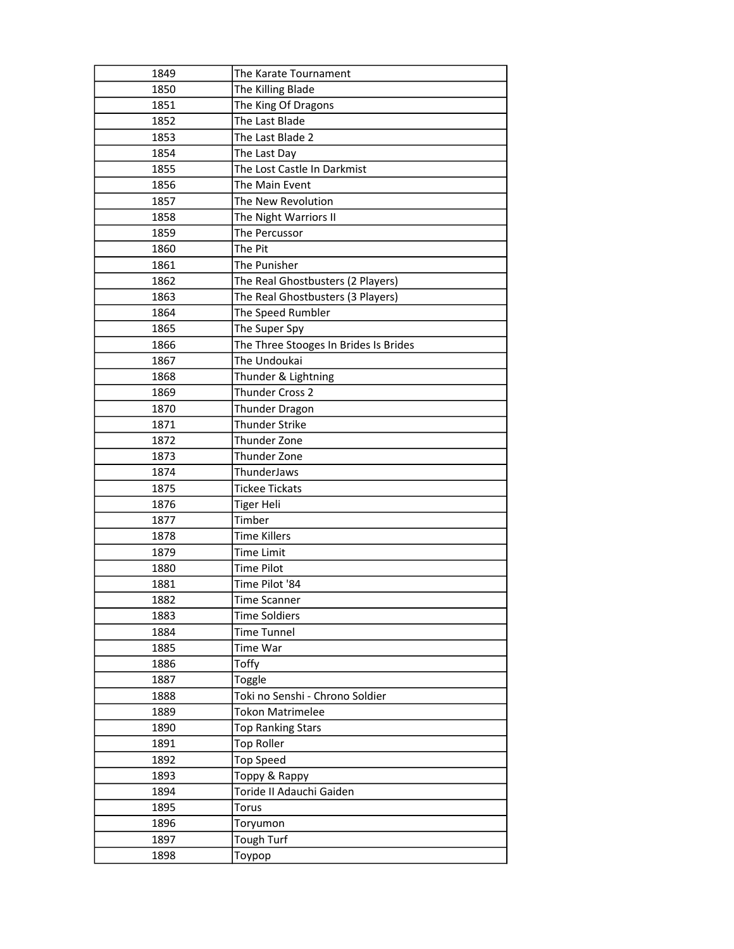| The Karate Tournament                 |
|---------------------------------------|
| The Killing Blade                     |
| The King Of Dragons                   |
| The Last Blade                        |
| The Last Blade 2                      |
| The Last Day                          |
| The Lost Castle In Darkmist           |
| The Main Event                        |
| The New Revolution                    |
| The Night Warriors II                 |
| The Percussor                         |
| The Pit                               |
| The Punisher                          |
| The Real Ghostbusters (2 Players)     |
| The Real Ghostbusters (3 Players)     |
| The Speed Rumbler                     |
| The Super Spy                         |
| The Three Stooges In Brides Is Brides |
| The Undoukai                          |
| Thunder & Lightning                   |
| Thunder Cross 2                       |
| Thunder Dragon                        |
| <b>Thunder Strike</b>                 |
| Thunder Zone                          |
| Thunder Zone                          |
| ThunderJaws                           |
| <b>Tickee Tickats</b>                 |
| <b>Tiger Heli</b>                     |
| Timber                                |
| <b>Time Killers</b>                   |
| <b>Time Limit</b>                     |
| <b>Time Pilot</b>                     |
| Time Pilot '84                        |
| Time Scanner                          |
| <b>Time Soldiers</b>                  |
| <b>Time Tunnel</b>                    |
| Time War                              |
| Toffy                                 |
| Toggle                                |
| Toki no Senshi - Chrono Soldier       |
| <b>Tokon Matrimelee</b>               |
| <b>Top Ranking Stars</b>              |
| <b>Top Roller</b>                     |
| <b>Top Speed</b>                      |
| Toppy & Rappy                         |
| Toride II Adauchi Gaiden              |
| Torus                                 |
| Toryumon                              |
| Tough Turf                            |
|                                       |
|                                       |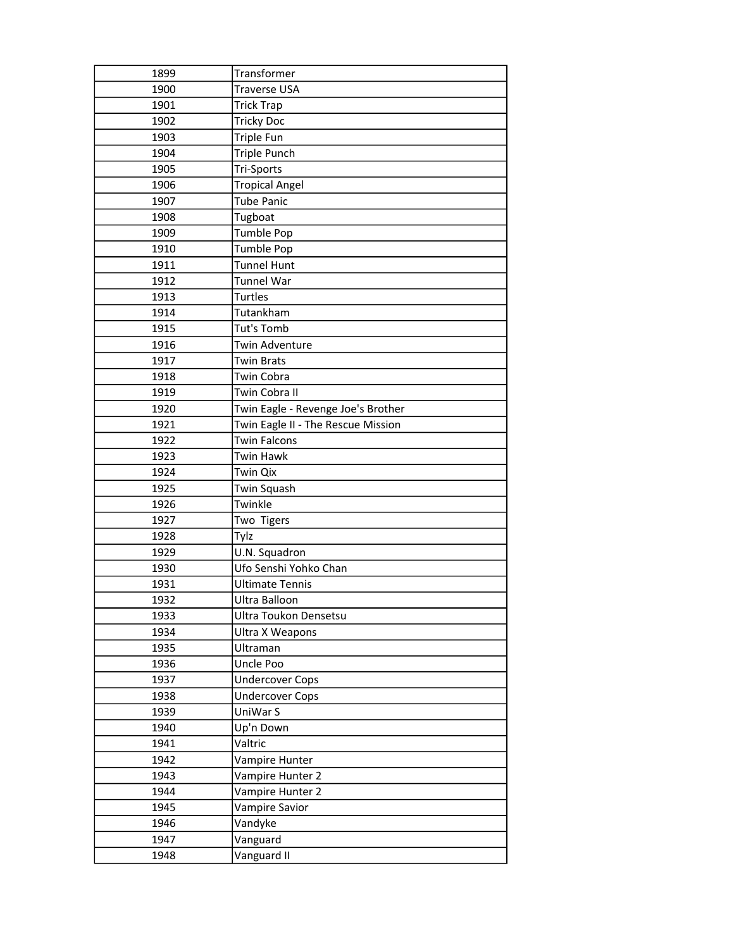| 1899 | Transformer                        |
|------|------------------------------------|
| 1900 | <b>Traverse USA</b>                |
| 1901 | <b>Trick Trap</b>                  |
| 1902 | <b>Tricky Doc</b>                  |
| 1903 | Triple Fun                         |
| 1904 | <b>Triple Punch</b>                |
| 1905 | Tri-Sports                         |
| 1906 | <b>Tropical Angel</b>              |
| 1907 | <b>Tube Panic</b>                  |
| 1908 | Tugboat                            |
| 1909 | Tumble Pop                         |
| 1910 | Tumble Pop                         |
| 1911 | <b>Tunnel Hunt</b>                 |
| 1912 | Tunnel War                         |
| 1913 | <b>Turtles</b>                     |
| 1914 | Tutankham                          |
| 1915 | Tut's Tomb                         |
| 1916 | Twin Adventure                     |
| 1917 | <b>Twin Brats</b>                  |
| 1918 | <b>Twin Cobra</b>                  |
| 1919 | Twin Cobra II                      |
| 1920 | Twin Eagle - Revenge Joe's Brother |
| 1921 | Twin Eagle II - The Rescue Mission |
| 1922 | <b>Twin Falcons</b>                |
| 1923 | <b>Twin Hawk</b>                   |
| 1924 | Twin Qix                           |
| 1925 | Twin Squash                        |
| 1926 | Twinkle                            |
| 1927 | Two Tigers                         |
| 1928 | Tylz                               |
| 1929 | U.N. Squadron                      |
| 1930 | Ufo Senshi Yohko Chan              |
| 1931 | <b>Ultimate Tennis</b>             |
| 1932 | Ultra Balloon                      |
| 1933 | Ultra Toukon Densetsu              |
| 1934 | Ultra X Weapons                    |
| 1935 | Ultraman                           |
| 1936 | Uncle Poo                          |
| 1937 | <b>Undercover Cops</b>             |
| 1938 | <b>Undercover Cops</b>             |
| 1939 | UniWar S                           |
| 1940 | Up'n Down                          |
| 1941 | Valtric                            |
| 1942 | Vampire Hunter                     |
| 1943 | Vampire Hunter 2                   |
| 1944 | Vampire Hunter 2                   |
| 1945 | Vampire Savior                     |
| 1946 | Vandyke                            |
| 1947 | Vanguard                           |
| 1948 | Vanguard II                        |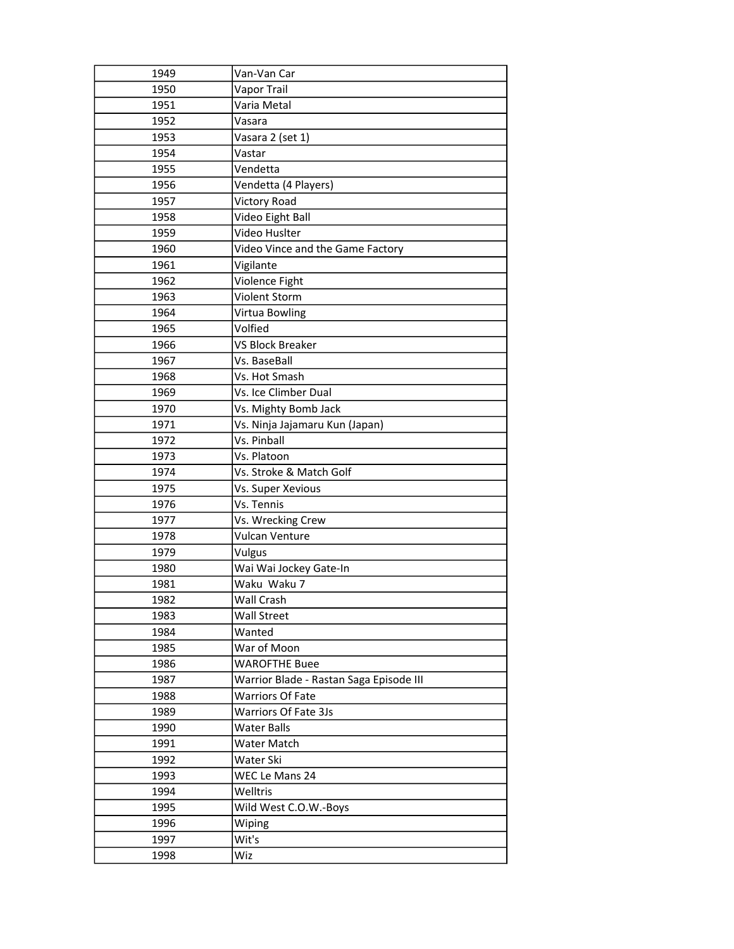| 1949 | Van-Van Car                             |
|------|-----------------------------------------|
| 1950 | Vapor Trail                             |
| 1951 | Varia Metal                             |
| 1952 | Vasara                                  |
| 1953 | Vasara 2 (set 1)                        |
| 1954 | Vastar                                  |
| 1955 | Vendetta                                |
| 1956 | Vendetta (4 Players)                    |
| 1957 | <b>Victory Road</b>                     |
| 1958 | Video Eight Ball                        |
| 1959 | Video Huslter                           |
| 1960 | Video Vince and the Game Factory        |
| 1961 | Vigilante                               |
| 1962 | Violence Fight                          |
| 1963 | Violent Storm                           |
| 1964 | Virtua Bowling                          |
| 1965 | Volfied                                 |
| 1966 | <b>VS Block Breaker</b>                 |
| 1967 | Vs. BaseBall                            |
| 1968 | Vs. Hot Smash                           |
| 1969 | Vs. Ice Climber Dual                    |
| 1970 | Vs. Mighty Bomb Jack                    |
| 1971 | Vs. Ninja Jajamaru Kun (Japan)          |
| 1972 | Vs. Pinball                             |
| 1973 | Vs. Platoon                             |
|      |                                         |
| 1974 | Vs. Stroke & Match Golf                 |
| 1975 | Vs. Super Xevious                       |
| 1976 | Vs. Tennis                              |
| 1977 | Vs. Wrecking Crew                       |
| 1978 | Vulcan Venture                          |
| 1979 | Vulgus                                  |
| 1980 | Wai Wai Jockey Gate-In                  |
| 1981 | Waku Waku 7                             |
| 1982 | Wall Crash                              |
| 1983 | Wall Street                             |
| 1984 | Wanted                                  |
| 1985 | War of Moon                             |
| 1986 | <b>WAROFTHE Buee</b>                    |
| 1987 | Warrior Blade - Rastan Saga Episode III |
| 1988 | <b>Warriors Of Fate</b>                 |
| 1989 | Warriors Of Fate 3Js                    |
| 1990 | <b>Water Balls</b>                      |
| 1991 | Water Match                             |
| 1992 | Water Ski                               |
| 1993 | WEC Le Mans 24                          |
| 1994 | Welltris                                |
| 1995 | Wild West C.O.W.-Boys                   |
| 1996 | Wiping                                  |
| 1997 | Wit's                                   |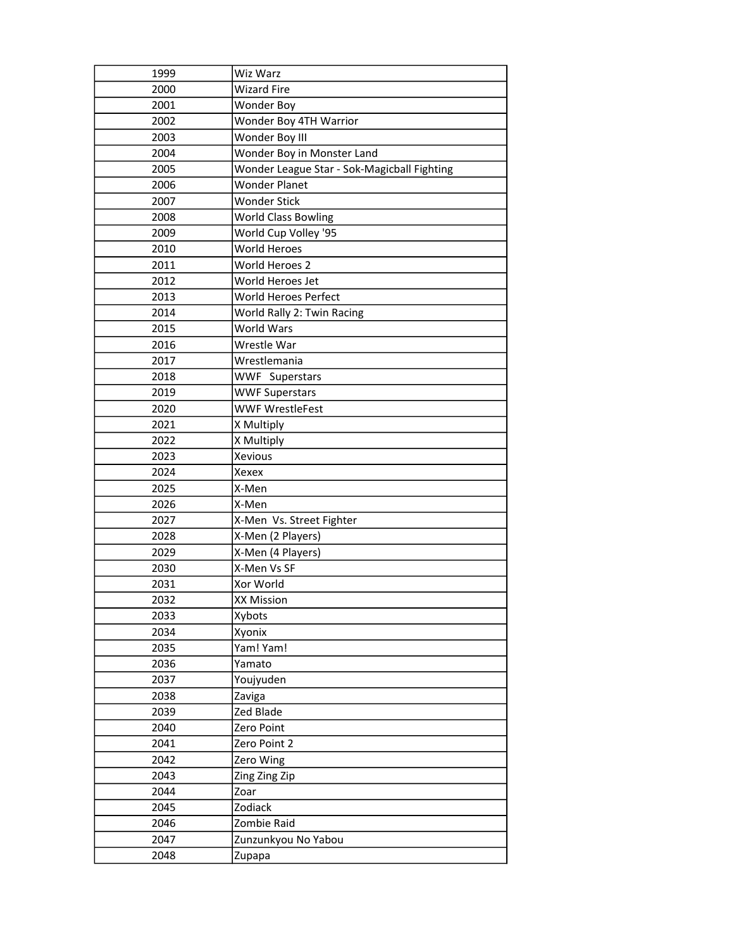| 1999 | Wiz Warz                                    |
|------|---------------------------------------------|
| 2000 | <b>Wizard Fire</b>                          |
| 2001 | Wonder Boy                                  |
| 2002 | Wonder Boy 4TH Warrior                      |
| 2003 | Wonder Boy III                              |
| 2004 | Wonder Boy in Monster Land                  |
| 2005 | Wonder League Star - Sok-Magicball Fighting |
| 2006 | <b>Wonder Planet</b>                        |
| 2007 | <b>Wonder Stick</b>                         |
| 2008 | <b>World Class Bowling</b>                  |
| 2009 | World Cup Volley '95                        |
| 2010 | World Heroes                                |
| 2011 | World Heroes 2                              |
| 2012 | World Heroes Jet                            |
| 2013 | World Heroes Perfect                        |
| 2014 | World Rally 2: Twin Racing                  |
| 2015 | <b>World Wars</b>                           |
| 2016 | Wrestle War                                 |
| 2017 | Wrestlemania                                |
| 2018 | <b>WWF Superstars</b>                       |
| 2019 | <b>WWF Superstars</b>                       |
| 2020 | <b>WWF WrestleFest</b>                      |
| 2021 | X Multiply                                  |
| 2022 | X Multiply                                  |
| 2023 | Xevious                                     |
| 2024 | Xexex                                       |
| 2025 | X-Men                                       |
| 2026 | X-Men                                       |
| 2027 | X-Men Vs. Street Fighter                    |
| 2028 | X-Men (2 Players)                           |
| 2029 | X-Men (4 Players)                           |
| 2030 | X-Men Vs SF                                 |
| 2031 | Xor World                                   |
| 2032 | <b>XX Mission</b>                           |
| 2033 | Xybots                                      |
| 2034 | Xyonix                                      |
| 2035 | Yam! Yam!                                   |
| 2036 | Yamato                                      |
| 2037 | Youjyuden                                   |
| 2038 | Zaviga                                      |
| 2039 | Zed Blade                                   |
| 2040 | Zero Point                                  |
| 2041 | Zero Point 2                                |
| 2042 | Zero Wing                                   |
| 2043 | Zing Zing Zip                               |
| 2044 | Zoar                                        |
| 2045 | Zodiack                                     |
| 2046 | Zombie Raid                                 |
| 2047 | Zunzunkyou No Yabou                         |
| 2048 | Zupapa                                      |